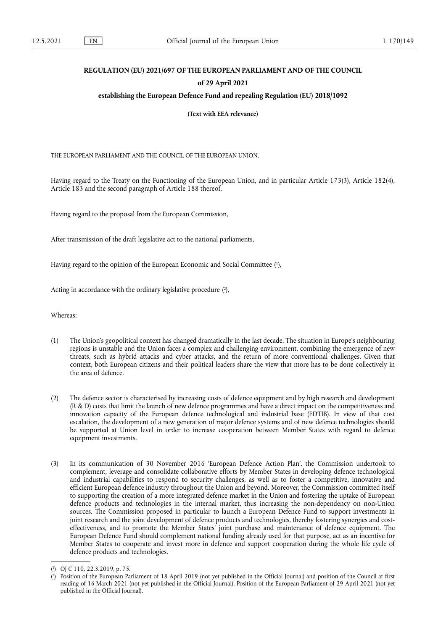# **REGULATION (EU) 2021/697 OF THE EUROPEAN PARLIAMENT AND OF THE COUNCIL of 29 April 2021**

**establishing the European Defence Fund and repealing Regulation (EU) 2018/1092** 

**(Text with EEA relevance)** 

THE EUROPEAN PARLIAMENT AND THE COUNCIL OF THE EUROPEAN UNION,

Having regard to the Treaty on the Functioning of the European Union, and in particular Article 173(3), Article 182(4), Article 183 and the second paragraph of Article 188 thereof,

Having regard to the proposal from the European Commission,

After transmission of the draft legislative act to the national parliaments,

<span id="page-0-2"></span>Having regard to the opinion of the European Economic and Social Committee ( 1 [\),](#page-0-0)

<span id="page-0-3"></span>Acting in accordance with the ordinary legislative procedure [\(](#page-0-1) 2 ),

Whereas:

- (1) The Union's geopolitical context has changed dramatically in the last decade. The situation in Europe's neighbouring regions is unstable and the Union faces a complex and challenging environment, combining the emergence of new threats, such as hybrid attacks and cyber attacks, and the return of more conventional challenges. Given that context, both European citizens and their political leaders share the view that more has to be done collectively in the area of defence.
- (2) The defence sector is characterised by increasing costs of defence equipment and by high research and development (R & D) costs that limit the launch of new defence programmes and have a direct impact on the competitiveness and innovation capacity of the European defence technological and industrial base (EDTIB). In view of that cost escalation, the development of a new generation of major defence systems and of new defence technologies should be supported at Union level in order to increase cooperation between Member States with regard to defence equipment investments.
- (3) In its communication of 30 November 2016 'European Defence Action Plan', the Commission undertook to complement, leverage and consolidate collaborative efforts by Member States in developing defence technological and industrial capabilities to respond to security challenges, as well as to foster a competitive, innovative and efficient European defence industry throughout the Union and beyond. Moreover, the Commission committed itself to supporting the creation of a more integrated defence market in the Union and fostering the uptake of European defence products and technologies in the internal market, thus increasing the non-dependency on non-Union sources. The Commission proposed in particular to launch a European Defence Fund to support investments in joint research and the joint development of defence products and technologies, thereby fostering synergies and costeffectiveness, and to promote the Member States' joint purchase and maintenance of defence equipment. The European Defence Fund should complement national funding already used for that purpose, act as an incentive for Member States to cooperate and invest more in defence and support cooperation during the whole life cycle of defence products and technologies.

<span id="page-0-0"></span>[<sup>\(</sup>](#page-0-2) 1 ) OJ C 110, 22.3.2019, p. 75.

<span id="page-0-1"></span>[<sup>\(</sup>](#page-0-3) 2 ) Position of the European Parliament of 18 April 2019 (not yet published in the Official Journal) and position of the Council at first reading of 16 March 2021 (not yet published in the Official Journal). Position of the European Parliament of 29 April 2021 (not yet published in the Official Journal).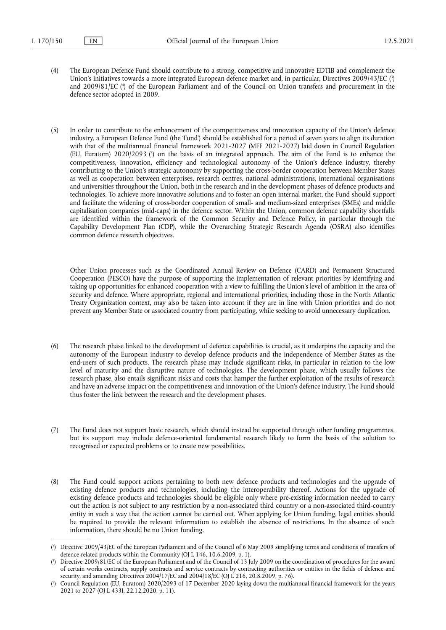- <span id="page-1-4"></span><span id="page-1-3"></span>(4) The European Defence Fund should contribute to a strong, competitive and innovative EDTIB and complement the Union's initiatives towards a more integrated European defence market and, in particular, Directives 2009/43/EC [\(](#page-1-0) 3 ) and 2009/81/EC [\(](#page-1-1) 4 ) of the European Parliament and of the Council on Union transfers and procurement in the defence sector adopted in 2009.
- <span id="page-1-5"></span>(5) In order to contribute to the enhancement of the competitiveness and innovation capacity of the Union's defence industry, a European Defence Fund (the 'Fund') should be established for a period of seven years to align its duration with that of the multiannual financial framework 2021-2027 (MFF 2021-2027) laid down in Council Regulation [\(](#page-1-2)EU, Euratom) 2020/2093 (5) on the basis of an integrated approach. The aim of the Fund is to enhance the competitiveness, innovation, efficiency and technological autonomy of the Union's defence industry, thereby contributing to the Union's strategic autonomy by supporting the cross-border cooperation between Member States as well as cooperation between enterprises, research centres, national administrations, international organisations and universities throughout the Union, both in the research and in the development phases of defence products and technologies. To achieve more innovative solutions and to foster an open internal market, the Fund should support and facilitate the widening of cross-border cooperation of small- and medium-sized enterprises (SMEs) and middle capitalisation companies (mid-caps) in the defence sector. Within the Union, common defence capability shortfalls are identified within the framework of the Common Security and Defence Policy, in particular through the Capability Development Plan (CDP), while the Overarching Strategic Research Agenda (OSRA) also identifies common defence research objectives.

Other Union processes such as the Coordinated Annual Review on Defence (CARD) and Permanent Structured Cooperation (PESCO) have the purpose of supporting the implementation of relevant priorities by identifying and taking up opportunities for enhanced cooperation with a view to fulfilling the Union's level of ambition in the area of security and defence. Where appropriate, regional and international priorities, including those in the North Atlantic Treaty Organization context, may also be taken into account if they are in line with Union priorities and do not prevent any Member State or associated country from participating, while seeking to avoid unnecessary duplication.

- (6) The research phase linked to the development of defence capabilities is crucial, as it underpins the capacity and the autonomy of the European industry to develop defence products and the independence of Member States as the end-users of such products. The research phase may include significant risks, in particular in relation to the low level of maturity and the disruptive nature of technologies. The development phase, which usually follows the research phase, also entails significant risks and costs that hamper the further exploitation of the results of research and have an adverse impact on the competitiveness and innovation of the Union's defence industry. The Fund should thus foster the link between the research and the development phases.
- (7) The Fund does not support basic research, which should instead be supported through other funding programmes, but its support may include defence-oriented fundamental research likely to form the basis of the solution to recognised or expected problems or to create new possibilities.
- (8) The Fund could support actions pertaining to both new defence products and technologies and the upgrade of existing defence products and technologies, including the interoperability thereof. Actions for the upgrade of existing defence products and technologies should be eligible only where pre-existing information needed to carry out the action is not subject to any restriction by a non-associated third country or a non-associated third-country entity in such a way that the action cannot be carried out. When applying for Union funding, legal entities should be required to provide the relevant information to establish the absence of restrictions. In the absence of such information, there should be no Union funding.

<span id="page-1-0"></span>[<sup>\(</sup>](#page-1-3) 3 ) Directive 2009/43/EC of the European Parliament and of the Council of 6 May 2009 simplifying terms and conditions of transfers of defence-related products within the Community (OJ L 146, 10.6.2009, p. 1).

<span id="page-1-1"></span>[<sup>\(</sup>](#page-1-4) 4 ) Directive 2009/81/EC of the European Parliament and of the Council of 13 July 2009 on the coordination of procedures for the award of certain works contracts, supply contracts and service contracts by contracting authorities or entities in the fields of defence and security, and amending Directives 2004/17/EC and 2004/18/EC (OJ L 216, 20.8.2009, p. 76).

<span id="page-1-2"></span>[<sup>\(</sup>](#page-1-5) 5 ) Council Regulation (EU, Euratom) 2020/2093 of 17 December 2020 laying down the multiannual financial framework for the years 2021 to 2027 (OJ L 433I, 22.12.2020, p. 11).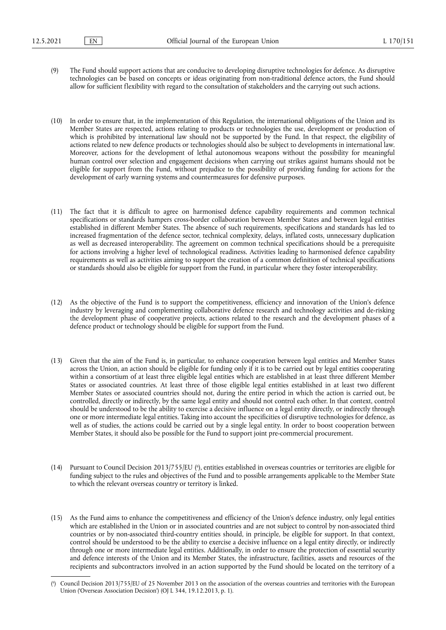- (9) The Fund should support actions that are conducive to developing disruptive technologies for defence. As disruptive technologies can be based on concepts or ideas originating from non-traditional defence actors, the Fund should allow for sufficient flexibility with regard to the consultation of stakeholders and the carrying out such actions.
- (10) In order to ensure that, in the implementation of this Regulation, the international obligations of the Union and its Member States are respected, actions relating to products or technologies the use, development or production of which is prohibited by international law should not be supported by the Fund. In that respect, the eligibility of actions related to new defence products or technologies should also be subject to developments in international law. Moreover, actions for the development of lethal autonomous weapons without the possibility for meaningful human control over selection and engagement decisions when carrying out strikes against humans should not be eligible for support from the Fund, without prejudice to the possibility of providing funding for actions for the development of early warning systems and countermeasures for defensive purposes.
- (11) The fact that it is difficult to agree on harmonised defence capability requirements and common technical specifications or standards hampers cross-border collaboration between Member States and between legal entities established in different Member States. The absence of such requirements, specifications and standards has led to increased fragmentation of the defence sector, technical complexity, delays, inflated costs, unnecessary duplication as well as decreased interoperability. The agreement on common technical specifications should be a prerequisite for actions involving a higher level of technological readiness. Activities leading to harmonised defence capability requirements as well as activities aiming to support the creation of a common definition of technical specifications or standards should also be eligible for support from the Fund, in particular where they foster interoperability.
- (12) As the objective of the Fund is to support the competitiveness, efficiency and innovation of the Union's defence industry by leveraging and complementing collaborative defence research and technology activities and de-risking the development phase of cooperative projects, actions related to the research and the development phases of a defence product or technology should be eligible for support from the Fund.
- (13) Given that the aim of the Fund is, in particular, to enhance cooperation between legal entities and Member States across the Union, an action should be eligible for funding only if it is to be carried out by legal entities cooperating within a consortium of at least three eligible legal entities which are established in at least three different Member States or associated countries. At least three of those eligible legal entities established in at least two different Member States or associated countries should not, during the entire period in which the action is carried out, be controlled, directly or indirectly, by the same legal entity and should not control each other. In that context, control should be understood to be the ability to exercise a decisive influence on a legal entity directly, or indirectly through one or more intermediate legal entities. Taking into account the specificities of disruptive technologies for defence, as well as of studies, the actions could be carried out by a single legal entity. In order to boost cooperation between Member States, it should also be possible for the Fund to support joint pre-commercial procurement.
- <span id="page-2-1"></span>(14) Pursuant to Council Decision 2013/755/EU ( 6 [\),](#page-2-0) entities established in overseas countries or territories are eligible for funding subject to the rules and objectives of the Fund and to possible arrangements applicable to the Member State to which the relevant overseas country or territory is linked.
- (15) As the Fund aims to enhance the competitiveness and efficiency of the Union's defence industry, only legal entities which are established in the Union or in associated countries and are not subject to control by non-associated third countries or by non-associated third-country entities should, in principle, be eligible for support. In that context, control should be understood to be the ability to exercise a decisive influence on a legal entity directly, or indirectly through one or more intermediate legal entities. Additionally, in order to ensure the protection of essential security and defence interests of the Union and its Member States, the infrastructure, facilities, assets and resources of the recipients and subcontractors involved in an action supported by the Fund should be located on the territory of a

<span id="page-2-0"></span>[<sup>\(</sup>](#page-2-1) 6 ) Council Decision 2013/755/EU of 25 November 2013 on the association of the overseas countries and territories with the European Union ('Overseas Association Decision') (OJ L 344, 19.12.2013, p. 1).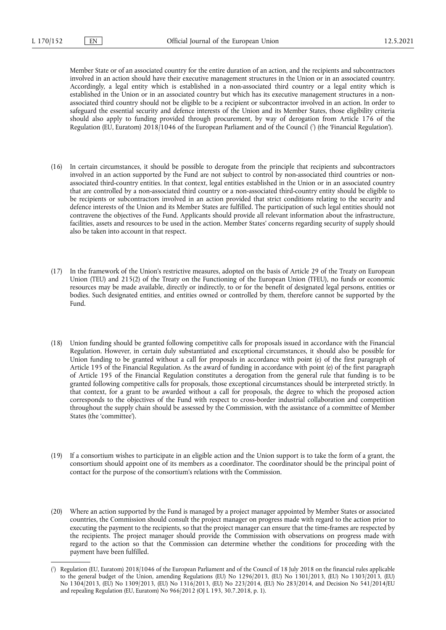Member State or of an associated country for the entire duration of an action, and the recipients and subcontractors involved in an action should have their executive management structures in the Union or in an associated country. Accordingly, a legal entity which is established in a non-associated third country or a legal entity which is established in the Union or in an associated country but which has its executive management structures in a nonassociated third country should not be eligible to be a recipient or subcontractor involved in an action. In order to safeguard the essential security and defence interests of the Union and its Member States, those eligibility criteria should also apply to funding provided through procurement, by way of derogation from Article 176 of the Regulation (EU, Euratom) 2018/1046 of the European Parliament and of the Council [\(](#page-3-0) 7 ) (the 'Financial Regulation').

- <span id="page-3-1"></span>(16) In certain circumstances, it should be possible to derogate from the principle that recipients and subcontractors involved in an action supported by the Fund are not subject to control by non-associated third countries or nonassociated third-country entities. In that context, legal entities established in the Union or in an associated country that are controlled by a non-associated third country or a non-associated third-country entity should be eligible to be recipients or subcontractors involved in an action provided that strict conditions relating to the security and defence interests of the Union and its Member States are fulfilled. The participation of such legal entities should not contravene the objectives of the Fund. Applicants should provide all relevant information about the infrastructure, facilities, assets and resources to be used in the action. Member States' concerns regarding security of supply should also be taken into account in that respect.
- (17) In the framework of the Union's restrictive measures, adopted on the basis of Article 29 of the Treaty on European Union (TEU) and 215(2) of the Treaty on the Functioning of the European Union (TFEU), no funds or economic resources may be made available, directly or indirectly, to or for the benefit of designated legal persons, entities or bodies. Such designated entities, and entities owned or controlled by them, therefore cannot be supported by the Fund.
- (18) Union funding should be granted following competitive calls for proposals issued in accordance with the Financial Regulation. However, in certain duly substantiated and exceptional circumstances, it should also be possible for Union funding to be granted without a call for proposals in accordance with point (e) of the first paragraph of Article 195 of the Financial Regulation. As the award of funding in accordance with point (e) of the first paragraph of Article 195 of the Financial Regulation constitutes a derogation from the general rule that funding is to be granted following competitive calls for proposals, those exceptional circumstances should be interpreted strictly. In that context, for a grant to be awarded without a call for proposals, the degree to which the proposed action corresponds to the objectives of the Fund with respect to cross-border industrial collaboration and competition throughout the supply chain should be assessed by the Commission, with the assistance of a committee of Member States (the 'committee').
- (19) If a consortium wishes to participate in an eligible action and the Union support is to take the form of a grant, the consortium should appoint one of its members as a coordinator. The coordinator should be the principal point of contact for the purpose of the consortium's relations with the Commission.
- (20) Where an action supported by the Fund is managed by a project manager appointed by Member States or associated countries, the Commission should consult the project manager on progress made with regard to the action prior to executing the payment to the recipients, so that the project manager can ensure that the time-frames are respected by the recipients. The project manager should provide the Commission with observations on progress made with regard to the action so that the Commission can determine whether the conditions for proceeding with the payment have been fulfilled.

<span id="page-3-0"></span>[<sup>\(</sup>](#page-3-1) 7 ) Regulation (EU, Euratom) 2018/1046 of the European Parliament and of the Council of 18 July 2018 on the financial rules applicable to the general budget of the Union, amending Regulations (EU) No 1296/2013, (EU) No 1301/2013, (EU) No 1303/2013, (EU) No 1304/2013, (EU) No 1309/2013, (EU) No 1316/2013, (EU) No 223/2014, (EU) No 283/2014, and Decision No 541/2014/EU and repealing Regulation (EU, Euratom) No 966/2012 (OJ L 193, 30.7.2018, p. 1).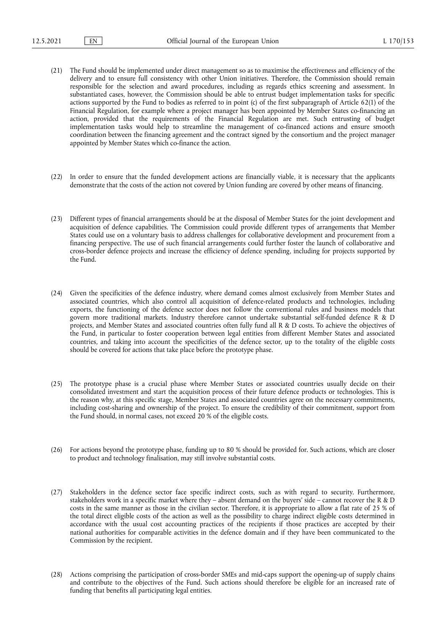- (21) The Fund should be implemented under direct management so as to maximise the effectiveness and efficiency of the delivery and to ensure full consistency with other Union initiatives. Therefore, the Commission should remain responsible for the selection and award procedures, including as regards ethics screening and assessment. In substantiated cases, however, the Commission should be able to entrust budget implementation tasks for specific actions supported by the Fund to bodies as referred to in point (c) of the first subparagraph of Article 62(1) of the Financial Regulation, for example where a project manager has been appointed by Member States co-financing an action, provided that the requirements of the Financial Regulation are met. Such entrusting of budget implementation tasks would help to streamline the management of co-financed actions and ensure smooth coordination between the financing agreement and the contract signed by the consortium and the project manager appointed by Member States which co-finance the action.
- (22) In order to ensure that the funded development actions are financially viable, it is necessary that the applicants demonstrate that the costs of the action not covered by Union funding are covered by other means of financing.
- (23) Different types of financial arrangements should be at the disposal of Member States for the joint development and acquisition of defence capabilities. The Commission could provide different types of arrangements that Member States could use on a voluntary basis to address challenges for collaborative development and procurement from a financing perspective. The use of such financial arrangements could further foster the launch of collaborative and cross-border defence projects and increase the efficiency of defence spending, including for projects supported by the Fund.
- (24) Given the specificities of the defence industry, where demand comes almost exclusively from Member States and associated countries, which also control all acquisition of defence-related products and technologies, including exports, the functioning of the defence sector does not follow the conventional rules and business models that govern more traditional markets. Industry therefore cannot undertake substantial self-funded defence R & D projects, and Member States and associated countries often fully fund all R & D costs. To achieve the objectives of the Fund, in particular to foster cooperation between legal entities from different Member States and associated countries, and taking into account the specificities of the defence sector, up to the totality of the eligible costs should be covered for actions that take place before the prototype phase.
- (25) The prototype phase is a crucial phase where Member States or associated countries usually decide on their consolidated investment and start the acquisition process of their future defence products or technologies. This is the reason why, at this specific stage, Member States and associated countries agree on the necessary commitments, including cost-sharing and ownership of the project. To ensure the credibility of their commitment, support from the Fund should, in normal cases, not exceed 20 % of the eligible costs.
- (26) For actions beyond the prototype phase, funding up to 80 % should be provided for. Such actions, which are closer to product and technology finalisation, may still involve substantial costs.
- (27) Stakeholders in the defence sector face specific indirect costs, such as with regard to security. Furthermore, stakeholders work in a specific market where they – absent demand on the buyers' side – cannot recover the R & D costs in the same manner as those in the civilian sector. Therefore, it is appropriate to allow a flat rate of 25 % of the total direct eligible costs of the action as well as the possibility to charge indirect eligible costs determined in accordance with the usual cost accounting practices of the recipients if those practices are accepted by their national authorities for comparable activities in the defence domain and if they have been communicated to the Commission by the recipient.
- (28) Actions comprising the participation of cross-border SMEs and mid-caps support the opening-up of supply chains and contribute to the objectives of the Fund. Such actions should therefore be eligible for an increased rate of funding that benefits all participating legal entities.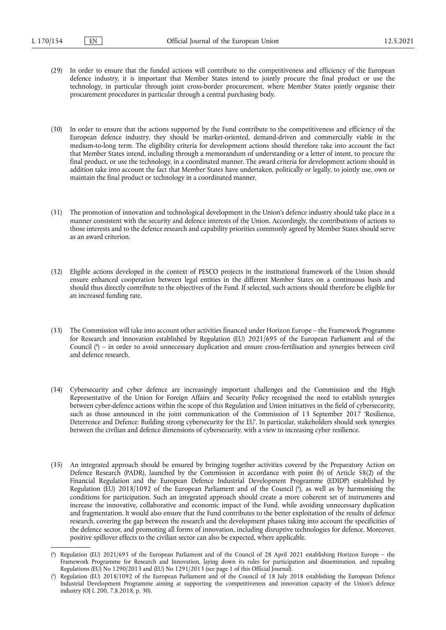- (29) In order to ensure that the funded actions will contribute to the competitiveness and efficiency of the European defence industry, it is important that Member States intend to jointly procure the final product or use the technology, in particular through joint cross-border procurement, where Member States jointly organise their procurement procedures in particular through a central purchasing body.
- (30) In order to ensure that the actions supported by the Fund contribute to the competitiveness and efficiency of the European defence industry, they should be market-oriented, demand-driven and commercially viable in the medium-to-long term. The eligibility criteria for development actions should therefore take into account the fact that Member States intend, including through a memorandum of understanding or a letter of intent, to procure the final product, or use the technology, in a coordinated manner. The award criteria for development actions should in addition take into account the fact that Member States have undertaken, politically or legally, to jointly use, own or maintain the final product or technology in a coordinated manner.
- (31) The promotion of innovation and technological development in the Union's defence industry should take place in a manner consistent with the security and defence interests of the Union. Accordingly, the contributions of actions to those interests and to the defence research and capability priorities commonly agreed by Member States should serve as an award criterion.
- (32) Eligible actions developed in the context of PESCO projects in the institutional framework of the Union should ensure enhanced cooperation between legal entities in the different Member States on a continuous basis and should thus directly contribute to the objectives of the Fund. If selected, such actions should therefore be eligible for an increased funding rate.
- <span id="page-5-2"></span>(33) The Commission will take into account other activities financed under Horizon Europe – the Framework Programme for Research and Innovation established by Regulation (EU) 2021/695 of the European Parliament and of the Council [\(](#page-5-0) 8 ) – in order to avoid unnecessary duplication and ensure cross-fertilisation and synergies between civil and defence research.
- (34) Cybersecurity and cyber defence are increasingly important challenges and the Commission and the High Representative of the Union for Foreign Affairs and Security Policy recognised the need to establish synergies between cyber-defence actions within the scope of this Regulation and Union initiatives in the field of cybersecurity, such as those announced in the joint communication of the Commission of 13 September 2017 'Resilience, Deterrence and Defence: Building strong cybersecurity for the EU'. In particular, stakeholders should seek synergies between the civilian and defence dimensions of cybersecurity, with a view to increasing cyber resilience.
- <span id="page-5-3"></span>(35) An integrated approach should be ensured by bringing together activities covered by the Preparatory Action on Defence Research (PADR), launched by the Commission in accordance with point (b) of Article 58(2) of the Financial Regulation and the European Defence Industrial Development Programme (EDIDP) established by Regulation (EU) 2018/1092 of the European Parliament and of the Council [\(](#page-5-1) 9 ), as well as by harmonising the conditions for participation. Such an integrated approach should create a more coherent set of instruments and increase the innovative, collaborative and economic impact of the Fund, while avoiding unnecessary duplication and fragmentation. It would also ensure that the Fund contributes to the better exploitation of the results of defence research, covering the gap between the research and the development phases taking into account the specificities of the defence sector, and promoting all forms of innovation, including disruptive technologies for defence. Moreover, positive spillover effects to the civilian sector can also be expected, where applicable.

<span id="page-5-0"></span>[<sup>\(</sup>](#page-5-2) 8 ) Regulation (EU) 2021/695 of the European Parliament and of the Council of 28 April 2021 establishing Horizon Europe – the Framework Programme for Research and Innovation, laying down its rules for participation and dissemination, and repealing Regulations (EU) No 1290/2013 and (EU) No 1291/2013 (see page 1 of this Official Journal).

<span id="page-5-1"></span>[<sup>\(</sup>](#page-5-3) 9 ) Regulation (EU) 2018/1092 of the European Parliament and of the Council of 18 July 2018 establishing the European Defence Industrial Development Programme aiming at supporting the competitiveness and innovation capacity of the Union's defence industry (OJ L 200, 7.8.2018, p. 30).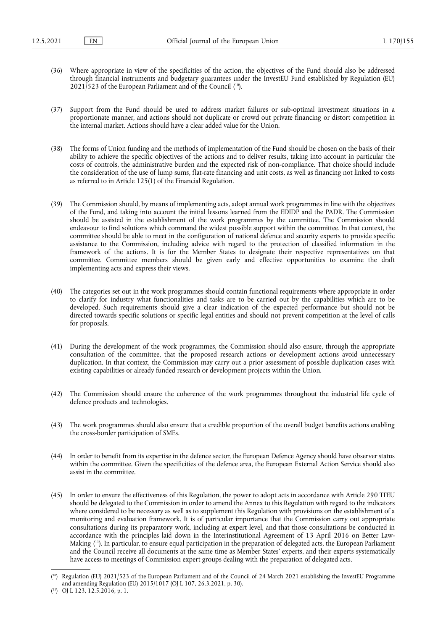- <span id="page-6-2"></span>(36) Where appropriate in view of the specificities of the action, the objectives of the Fund should also be addressed through financial instruments and budgetary guarantees under the InvestEU Fund established by Regulation (EU)  $2021/523$  of the European Parliament and of the Council  $(10)$ .
- (37) Support from the Fund should be used to address market failures or sub-optimal investment situations in a proportionate manner, and actions should not duplicate or crowd out private financing or distort competition in the internal market. Actions should have a clear added value for the Union.
- (38) The forms of Union funding and the methods of implementation of the Fund should be chosen on the basis of their ability to achieve the specific objectives of the actions and to deliver results, taking into account in particular the costs of controls, the administrative burden and the expected risk of non-compliance. That choice should include the consideration of the use of lump sums, flat-rate financing and unit costs, as well as financing not linked to costs as referred to in Article 125(1) of the Financial Regulation.
- (39) The Commission should, by means of implementing acts, adopt annual work programmes in line with the objectives of the Fund, and taking into account the initial lessons learned from the EDIDP and the PADR. The Commission should be assisted in the establishment of the work programmes by the committee. The Commission should endeavour to find solutions which command the widest possible support within the committee. In that context, the committee should be able to meet in the configuration of national defence and security experts to provide specific assistance to the Commission, including advice with regard to the protection of classified information in the framework of the actions. It is for the Member States to designate their respective representatives on that committee. Committee members should be given early and effective opportunities to examine the draft implementing acts and express their views.
- (40) The categories set out in the work programmes should contain functional requirements where appropriate in order to clarify for industry what functionalities and tasks are to be carried out by the capabilities which are to be developed. Such requirements should give a clear indication of the expected performance but should not be directed towards specific solutions or specific legal entities and should not prevent competition at the level of calls for proposals.
- (41) During the development of the work programmes, the Commission should also ensure, through the appropriate consultation of the committee, that the proposed research actions or development actions avoid unnecessary duplication. In that context, the Commission may carry out a prior assessment of possible duplication cases with existing capabilities or already funded research or development projects within the Union.
- (42) The Commission should ensure the coherence of the work programmes throughout the industrial life cycle of defence products and technologies.
- (43) The work programmes should also ensure that a credible proportion of the overall budget benefits actions enabling the cross-border participation of SMEs.
- (44) In order to benefit from its expertise in the defence sector, the European Defence Agency should have observer status within the committee. Given the specificities of the defence area, the European External Action Service should also assist in the committee.
- (45) In order to ensure the effectiveness of this Regulation, the power to adopt acts in accordance with Article 290 TFEU should be delegated to the Commission in order to amend the Annex to this Regulation with regard to the indicators where considered to be necessary as well as to supplement this Regulation with provisions on the establishment of a monitoring and evaluation framework. It is of particular importance that the Commission carry out appropriate consultations during its preparatory work, including at expert level, and that those consultations be conducted in accordance with the principles laid down in the Interinstitutional Agreement of 13 April 2016 on Better Law-Making ( [11\).](#page-6-1) In particular, to ensure equal participation in the preparation of delegated acts, the European Parliament and the Council receive all documents at the same time as Member States' experts, and their experts systematically have access to meetings of Commission expert groups dealing with the preparation of delegated acts.

<span id="page-6-3"></span><span id="page-6-0"></span><sup>(</sup> [10\)](#page-6-2) Regulation (EU) 2021/523 of the European Parliament and of the Council of 24 March 2021 establishing the InvestEU Programme and amending Regulation (EU) 2015/1017 (OJ L 107, 26.3.2021, p. 30).

<span id="page-6-1"></span><sup>(</sup> [11\)](#page-6-3) OJ L 123, 12.5.2016, p. 1.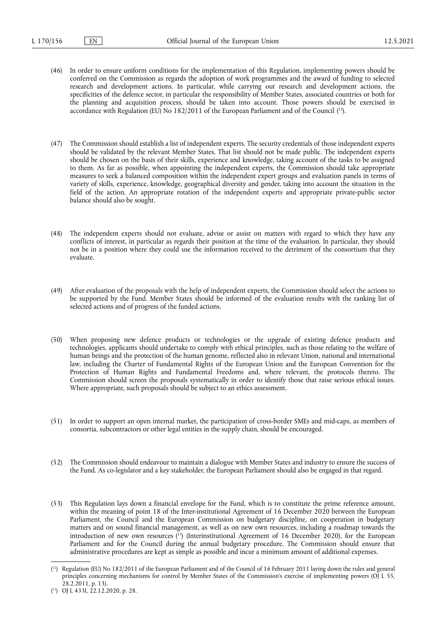- (46) In order to ensure uniform conditions for the implementation of this Regulation, implementing powers should be conferred on the Commission as regards the adoption of work programmes and the award of funding to selected research and development actions. In particular, while carrying out research and development actions, the specificities of the defence sector, in particular the responsibility of Member States, associated countries or both for the planning and acquisition process, should be taken into account. Those powers should be exercised in accordance with Regulation (EU) No 182/2011 of the European Parliament and of the Council ( [12\).](#page-7-0)
- <span id="page-7-2"></span>(47) The Commission should establish a list of independent experts. The security credentials of those independent experts should be validated by the relevant Member States. That list should not be made public. The independent experts should be chosen on the basis of their skills, experience and knowledge, taking account of the tasks to be assigned to them. As far as possible, when appointing the independent experts, the Commission should take appropriate measures to seek a balanced composition within the independent expert groups and evaluation panels in terms of variety of skills, experience, knowledge, geographical diversity and gender, taking into account the situation in the field of the action. An appropriate rotation of the independent experts and appropriate private-public sector balance should also be sought.
- (48) The independent experts should not evaluate, advise or assist on matters with regard to which they have any conflicts of interest, in particular as regards their position at the time of the evaluation. In particular, they should not be in a position where they could use the information received to the detriment of the consortium that they evaluate.
- (49) After evaluation of the proposals with the help of independent experts, the Commission should select the actions to be supported by the Fund. Member States should be informed of the evaluation results with the ranking list of selected actions and of progress of the funded actions.
- (50) When proposing new defence products or technologies or the upgrade of existing defence products and technologies, applicants should undertake to comply with ethical principles, such as those relating to the welfare of human beings and the protection of the human genome, reflected also in relevant Union, national and international law, including the Charter of Fundamental Rights of the European Union and the European Convention for the Protection of Human Rights and Fundamental Freedoms and, where relevant, the protocols thereto. The Commission should screen the proposals systematically in order to identify those that raise serious ethical issues. Where appropriate, such proposals should be subject to an ethics assessment.
- (51) In order to support an open internal market, the participation of cross-border SMEs and mid-caps, as members of consortia, subcontractors or other legal entities in the supply chain, should be encouraged.
- (52) The Commission should endeavour to maintain a dialogue with Member States and industry to ensure the success of the Fund. As co-legislator and a key stakeholder, the European Parliament should also be engaged in that regard.
- <span id="page-7-3"></span>(53) This Regulation lays down a financial envelope for the Fund, which is to constitute the prime reference amount, within the meaning of point 18 of the Inter-institutional Agreement of 16 December 2020 between the European Parliament, the Council and the European Commission on budgetary discipline, on cooperation in budgetary matters and on sound financial management, as well as on new own resources, including a roadmap towards the introduction of new own resources ( [13\)](#page-7-1) (Interinstitutional Agreement of 16 December 2020), for the European Parliament and for the Council during the annual budgetary procedure. The Commission should ensure that administrative procedures are kept as simple as possible and incur a minimum amount of additional expenses.

<span id="page-7-0"></span><sup>(</sup> [12\)](#page-7-2) Regulation (EU) No 182/2011 of the European Parliament and of the Council of 16 February 2011 laying down the rules and general principles concerning mechanisms for control by Member States of the Commission's exercise of implementing powers (OJ L 55, 28.2.2011, p. 13).

<span id="page-7-1"></span><sup>(</sup> [13\)](#page-7-3) OJ L 433I, 22.12.2020, p. 28.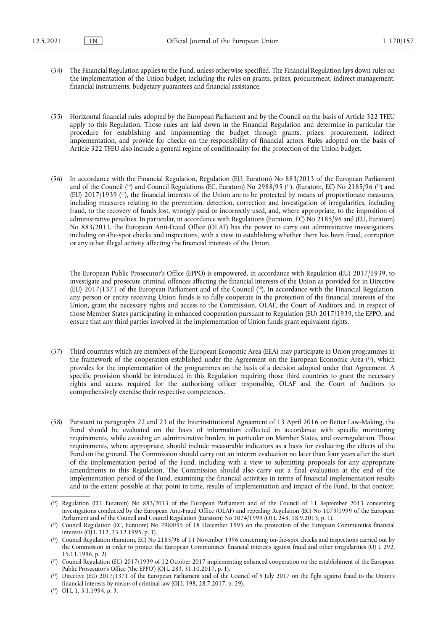- (54) The Financial Regulation applies to the Fund, unless otherwise specified. The Financial Regulation lays down rules on the implementation of the Union budget, including the rules on grants, prizes, procurement, indirect management, financial instruments, budgetary guarantees and financial assistance.
- (55) Horizontal financial rules adopted by the European Parliament and by the Council on the basis of Article 322 TFEU apply to this Regulation. Those rules are laid down in the Financial Regulation and determine in particular the procedure for establishing and implementing the budget through grants, prizes, procurement, indirect implementation, and provide for checks on the responsibility of financial actors. Rules adopted on the basis of Article 322 TFEU also include a general regime of conditionality for the protection of the Union budget.
- <span id="page-8-7"></span><span id="page-8-6"></span>(56) In accordance with the Financial Regulation, Regulation (EU, Euratom) No 883/2013 of the European Parliament and of the Council (<sup>14</sup>) and Council Regulations (EC, Euratom) No 2988/95 (<sup>15</sup>), (Euratom, EC) No 2185/96 (<sup>16</sup>) and (EU)  $2017/1939$  (<sup>17</sup>), the financial interests of the Union are to be protected by means of proportionate measures, including measures relating to the prevention, detection, correction and investigation of irregularities, including fraud, to the recovery of funds lost, wrongly paid or incorrectly used, and, where appropriate, to the imposition of administrative penalties. In particular, in accordance with Regulations (Euratom, EC) No 2185/96 and (EU, Euratom) No 883/2013, the European Anti-Fraud Office (OLAF) has the power to carry out administrative investigations, including on-the-spot checks and inspections, with a view to establishing whether there has been fraud, corruption or any other illegal activity affecting the financial interests of the Union.

<span id="page-8-8"></span>The European Public Prosecutor's Office (EPPO) is empowered, in accordance with Regulation (EU) 2017/1939, to investigate and prosecute criminal offences affecting the financial interests of the Union as provided for in Directive (EU) 2017/1371 of the European Parliament and of the Council ( [18\)](#page-8-4). In accordance with the Financial Regulation, any person or entity receiving Union funds is to fully cooperate in the protection of the financial interests of the Union, grant the necessary rights and access to the Commission, OLAF, the Court of Auditors and, in respect of those Member States participating in enhanced cooperation pursuant to Regulation (EU) 2017/1939, the EPPO, and ensure that any third parties involved in the implementation of Union funds grant equivalent rights.

- <span id="page-8-9"></span>(57) Third countries which are members of the European Economic Area (EEA) may participate in Union programmes in the framework of the cooperation established under the Agreement on the European Economic Area (<sup>19</sup>), which provides for the implementation of the programmes on the basis of a decision adopted under that Agreement. A specific provision should be introduced in this Regulation requiring those third countries to grant the necessary rights and access required for the authorising officer responsible, OLAF and the Court of Auditors to comprehensively exercise their respective competences.
- (58) Pursuant to paragraphs 22 and 23 of the Interinstitutional Agreement of 13 April 2016 on Better Law-Making, the Fund should be evaluated on the basis of information collected in accordance with specific monitoring requirements, while avoiding an administrative burden, in particular on Member States, and overregulation. Those requirements, where appropriate, should include measurable indicators as a basis for evaluating the effects of the Fund on the ground. The Commission should carry out an interim evaluation no later than four years after the start of the implementation period of the Fund, including with a view to submitting proposals for any appropriate amendments to this Regulation. The Commission should also carry out a final evaluation at the end of the implementation period of the Fund, examining the financial activities in terms of financial implementation results and to the extent possible at that point in time, results of implementation and impact of the Fund. In that context,

<span id="page-8-0"></span><sup>(</sup> [14\)](#page-8-6) Regulation (EU, Euratom) No 883/2013 of the European Parliament and of the Council of 11 September 2013 concerning investigations conducted by the European Anti-Fraud Office (OLAF) and repealing Regulation (EC) No 1073/1999 of the European Parliament and of the Council and Council Regulation (Euratom) No 1074/1999 (OJ L 248, 18.9.2013, p. 1).

<span id="page-8-1"></span><sup>(</sup> [15\)](#page-8-6) Council Regulation (EC, Euratom) No 2988/95 of 18 December 1995 on the protection of the European Communities financial interests (OJ L 312, 23.12.1995, p. 1).

<span id="page-8-2"></span><sup>(</sup> [16\)](#page-8-6) Council Regulation (Euratom, EC) No 2185/96 of 11 November 1996 concerning on-the-spot checks and inspections carried out by the Commission in order to protect the European Communities' financial interests against fraud and other irregularities (OJ L 292, 15.11.1996, p. 2).

<span id="page-8-3"></span><sup>(</sup> [17\)](#page-8-7) Council Regulation (EU) 2017/1939 of 12 October 2017 implementing enhanced cooperation on the establishment of the European Public Prosecutor's Office ('the EPPO') (OJ L 283, 31.10.2017, p. 1).

<span id="page-8-4"></span><sup>(</sup> [18\)](#page-8-8) Directive (EU) 2017/1371 of the European Parliament and of the Council of 5 July 2017 on the fight against fraud to the Union's financial interests by means of criminal law (OJ L 198, 28.7.2017, p. 29).

<span id="page-8-5"></span><sup>(</sup> [19\)](#page-8-9) OJ L 1, 3.1.1994, p. 3.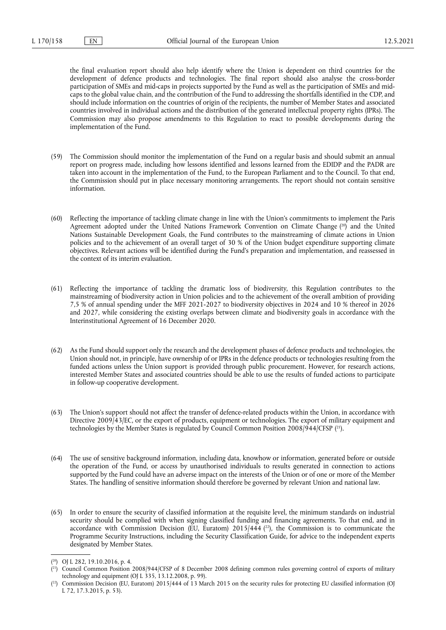the final evaluation report should also help identify where the Union is dependent on third countries for the development of defence products and technologies. The final report should also analyse the cross-border participation of SMEs and mid-caps in projects supported by the Fund as well as the participation of SMEs and midcaps to the global value chain, and the contribution of the Fund to addressing the shortfalls identified in the CDP, and should include information on the countries of origin of the recipients, the number of Member States and associated countries involved in individual actions and the distribution of the generated intellectual property rights (IPRs). The Commission may also propose amendments to this Regulation to react to possible developments during the implementation of the Fund.

- (59) The Commission should monitor the implementation of the Fund on a regular basis and should submit an annual report on progress made, including how lessons identified and lessons learned from the EDIDP and the PADR are taken into account in the implementation of the Fund, to the European Parliament and to the Council. To that end, the Commission should put in place necessary monitoring arrangements. The report should not contain sensitive information.
- <span id="page-9-3"></span>(60) Reflecting the importance of tackling climate change in line with the Union's commitments to implement the Paris Agreement adopted under the United Nations Framework Convention on Climate Change ( [20\)](#page-9-0) and the United Nations Sustainable Development Goals, the Fund contributes to the mainstreaming of climate actions in Union policies and to the achievement of an overall target of 30 % of the Union budget expenditure supporting climate objectives. Relevant actions will be identified during the Fund's preparation and implementation, and reassessed in the context of its interim evaluation.
- (61) Reflecting the importance of tackling the dramatic loss of biodiversity, this Regulation contributes to the mainstreaming of biodiversity action in Union policies and to the achievement of the overall ambition of providing 7,5 % of annual spending under the MFF 2021-2027 to biodiversity objectives in 2024 and 10 % thereof in 2026 and 2027, while considering the existing overlaps between climate and biodiversity goals in accordance with the Interinstitutional Agreement of 16 December 2020.
- (62) As the Fund should support only the research and the development phases of defence products and technologies, the Union should not, in principle, have ownership of or IPRs in the defence products or technologies resulting from the funded actions unless the Union support is provided through public procurement. However, for research actions, interested Member States and associated countries should be able to use the results of funded actions to participate in follow-up cooperative development.
- <span id="page-9-4"></span>(63) The Union's support should not affect the transfer of defence-related products within the Union, in accordance with Directive 2009/43/EC, or the export of products, equipment or technologies. The export of military equipment and technologies by the Member States is regulated by Council Common Position 2008/944/CFSP ( [21\)](#page-9-1).
- (64) The use of sensitive background information, including data, knowhow or information, generated before or outside the operation of the Fund, or access by unauthorised individuals to results generated in connection to actions supported by the Fund could have an adverse impact on the interests of the Union or of one or more of the Member States. The handling of sensitive information should therefore be governed by relevant Union and national law.
- <span id="page-9-5"></span>(65) In order to ensure the security of classified information at the requisite level, the minimum standards on industrial security should be complied with when signing classified funding and financing agreements. To that end, and in accordance with Commission Decision (EU, Euratom) 2015/444 ( [22\),](#page-9-2) the Commission is to communicate the Programme Security Instructions, including the Security Classification Guide, for advice to the independent experts designated by Member States.

<span id="page-9-0"></span><sup>(</sup> [20\)](#page-9-3) OJ L 282, 19.10.2016, p. 4.

<span id="page-9-1"></span><sup>(</sup> [21\)](#page-9-4) Council Common Position 2008/944/CFSP of 8 December 2008 defining common rules governing control of exports of military technology and equipment (OJ L 335, 13.12.2008, p. 99).

<span id="page-9-2"></span><sup>(</sup> [22\)](#page-9-5) Commission Decision (EU, Euratom) 2015/444 of 13 March 2015 on the security rules for protecting EU classified information (OJ L 72, 17.3.2015, p. 53).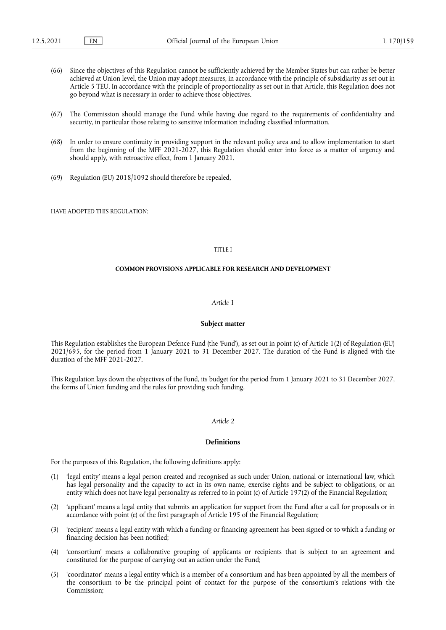- (66) Since the objectives of this Regulation cannot be sufficiently achieved by the Member States but can rather be better achieved at Union level, the Union may adopt measures, in accordance with the principle of subsidiarity as set out in Article 5 TEU. In accordance with the principle of proportionality as set out in that Article, this Regulation does not go beyond what is necessary in order to achieve those objectives.
- (67) The Commission should manage the Fund while having due regard to the requirements of confidentiality and security, in particular those relating to sensitive information including classified information.
- (68) In order to ensure continuity in providing support in the relevant policy area and to allow implementation to start from the beginning of the MFF 2021-2027, this Regulation should enter into force as a matter of urgency and should apply, with retroactive effect, from 1 January 2021.
- (69) Regulation (EU) 2018/1092 should therefore be repealed,

HAVE ADOPTED THIS REGULATION.

## TITLE I

## **COMMON PROVISIONS APPLICABLE FOR RESEARCH AND DEVELOPMENT**

#### *Article 1*

#### **Subject matter**

This Regulation establishes the European Defence Fund (the 'Fund'), as set out in point (c) of Article 1(2) of Regulation (EU) 2021/695, for the period from 1 January 2021 to 31 December 2027. The duration of the Fund is aligned with the duration of the MFF 2021-2027.

This Regulation lays down the objectives of the Fund, its budget for the period from 1 January 2021 to 31 December 2027, the forms of Union funding and the rules for providing such funding.

## *Article 2*

## **Definitions**

For the purposes of this Regulation, the following definitions apply:

- (1) 'legal entity' means a legal person created and recognised as such under Union, national or international law, which has legal personality and the capacity to act in its own name, exercise rights and be subject to obligations, or an entity which does not have legal personality as referred to in point (c) of Article 197(2) of the Financial Regulation;
- (2) 'applicant' means a legal entity that submits an application for support from the Fund after a call for proposals or in accordance with point (e) of the first paragraph of Article 195 of the Financial Regulation;
- (3) 'recipient' means a legal entity with which a funding or financing agreement has been signed or to which a funding or financing decision has been notified;
- (4) 'consortium' means a collaborative grouping of applicants or recipients that is subject to an agreement and constituted for the purpose of carrying out an action under the Fund;
- (5) 'coordinator' means a legal entity which is a member of a consortium and has been appointed by all the members of the consortium to be the principal point of contact for the purpose of the consortium's relations with the Commission;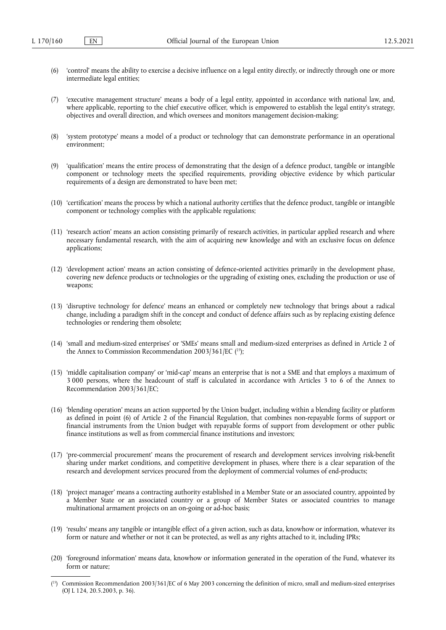- (6) 'control' means the ability to exercise a decisive influence on a legal entity directly, or indirectly through one or more intermediate legal entities;
- (7) 'executive management structure' means a body of a legal entity, appointed in accordance with national law, and, where applicable, reporting to the chief executive officer, which is empowered to establish the legal entity's strategy, objectives and overall direction, and which oversees and monitors management decision-making;
- (8) 'system prototype' means a model of a product or technology that can demonstrate performance in an operational environment;
- (9) 'qualification' means the entire process of demonstrating that the design of a defence product, tangible or intangible component or technology meets the specified requirements, providing objective evidence by which particular requirements of a design are demonstrated to have been met;
- (10) 'certification' means the process by which a national authority certifies that the defence product, tangible or intangible component or technology complies with the applicable regulations;
- (11) 'research action' means an action consisting primarily of research activities, in particular applied research and where necessary fundamental research, with the aim of acquiring new knowledge and with an exclusive focus on defence applications;
- (12) 'development action' means an action consisting of defence-oriented activities primarily in the development phase, covering new defence products or technologies or the upgrading of existing ones, excluding the production or use of weapons;
- (13) 'disruptive technology for defence' means an enhanced or completely new technology that brings about a radical change, including a paradigm shift in the concept and conduct of defence affairs such as by replacing existing defence technologies or rendering them obsolete;
- <span id="page-11-1"></span>(14) 'small and medium-sized enterprises' or 'SMEs' means small and medium-sized enterprises as defined in Article 2 of the Annex to Commission Recommendation 2003/361/EC ( [23\);](#page-11-0)
- (15) 'middle capitalisation company' or 'mid-cap' means an enterprise that is not a SME and that employs a maximum of 3 000 persons, where the headcount of staff is calculated in accordance with Articles 3 to 6 of the Annex to Recommendation 2003/361/EC;
- (16) 'blending operation' means an action supported by the Union budget, including within a blending facility or platform as defined in point (6) of Article 2 of the Financial Regulation, that combines non-repayable forms of support or financial instruments from the Union budget with repayable forms of support from development or other public finance institutions as well as from commercial finance institutions and investors;
- (17) 'pre-commercial procurement' means the procurement of research and development services involving risk-benefit sharing under market conditions, and competitive development in phases, where there is a clear separation of the research and development services procured from the deployment of commercial volumes of end-products;
- (18) 'project manager' means a contracting authority established in a Member State or an associated country, appointed by a Member State or an associated country or a group of Member States or associated countries to manage multinational armament projects on an on-going or ad-hoc basis;
- (19) 'results' means any tangible or intangible effect of a given action, such as data, knowhow or information, whatever its form or nature and whether or not it can be protected, as well as any rights attached to it, including IPRs;
- (20) 'foreground information' means data, knowhow or information generated in the operation of the Fund, whatever its form or nature;

<span id="page-11-0"></span><sup>(</sup> [23\)](#page-11-1) Commission Recommendation 2003/361/EC of 6 May 2003 concerning the definition of micro, small and medium-sized enterprises (OJ L 124, 20.5.2003, p. 36).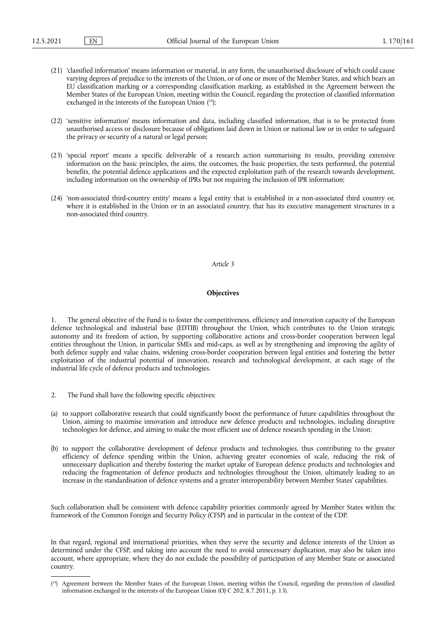- (21) 'classified information' means information or material, in any form, the unauthorised disclosure of which could cause varying degrees of prejudice to the interests of the Union, or of one or more of the Member States, and which bears an EU classification marking or a corresponding classification marking, as established in the Agreement between the Member States of the European Union, meeting within the Council, regarding the protection of classified information exchanged in the interests of the European Union ( [24\);](#page-12-0)
- <span id="page-12-1"></span>(22) 'sensitive information' means information and data, including classified information, that is to be protected from unauthorised access or disclosure because of obligations laid down in Union or national law or in order to safeguard the privacy or security of a natural or legal person;
- (23) 'special report' means a specific deliverable of a research action summarising its results, providing extensive information on the basic principles, the aims, the outcomes, the basic properties, the tests performed, the potential benefits, the potential defence applications and the expected exploitation path of the research towards development, including information on the ownership of IPRs but not requiring the inclusion of IPR information;
- (24) 'non-associated third-country entity' means a legal entity that is established in a non-associated third country or, where it is established in the Union or in an associated country, that has its executive management structures in a non-associated third country.

## **Objectives**

1. The general objective of the Fund is to foster the competitiveness, efficiency and innovation capacity of the European defence technological and industrial base (EDTIB) throughout the Union, which contributes to the Union strategic autonomy and its freedom of action, by supporting collaborative actions and cross-border cooperation between legal entities throughout the Union, in particular SMEs and mid-caps, as well as by strengthening and improving the agility of both defence supply and value chains, widening cross-border cooperation between legal entities and fostering the better exploitation of the industrial potential of innovation, research and technological development, at each stage of the industrial life cycle of defence products and technologies.

- 2. The Fund shall have the following specific objectives:
- (a) to support collaborative research that could significantly boost the performance of future capabilities throughout the Union, aiming to maximise innovation and introduce new defence products and technologies, including disruptive technologies for defence, and aiming to make the most efficient use of defence research spending in the Union;
- (b) to support the collaborative development of defence products and technologies, thus contributing to the greater efficiency of defence spending within the Union, achieving greater economies of scale, reducing the risk of unnecessary duplication and thereby fostering the market uptake of European defence products and technologies and reducing the fragmentation of defence products and technologies throughout the Union, ultimately leading to an increase in the standardisation of defence systems and a greater interoperability between Member States' capabilities.

Such collaboration shall be consistent with defence capability priorities commonly agreed by Member States within the framework of the Common Foreign and Security Policy (CFSP) and in particular in the context of the CDP.

In that regard, regional and international priorities, when they serve the security and defence interests of the Union as determined under the CFSP, and taking into account the need to avoid unnecessary duplication, may also be taken into account, where appropriate, where they do not exclude the possibility of participation of any Member State or associated country.

<span id="page-12-0"></span><sup>(</sup> [24\)](#page-12-1) Agreement between the Member States of the European Union, meeting within the Council, regarding the protection of classified information exchanged in the interests of the European Union (OJ C 202, 8.7.2011, p. 13).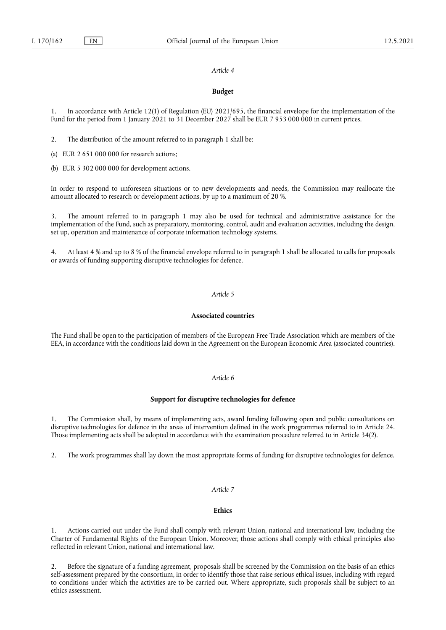#### **Budget**

In accordance with Article 12(1) of Regulation (EU) 2021/695, the financial envelope for the implementation of the Fund for the period from 1 January 2021 to 31 December 2027 shall be EUR 7 953 000 000 in current prices.

2. The distribution of the amount referred to in paragraph 1 shall be:

(a) EUR 2 651 000 000 for research actions;

(b) EUR 5 302 000 000 for development actions.

In order to respond to unforeseen situations or to new developments and needs, the Commission may reallocate the amount allocated to research or development actions, by up to a maximum of 20 %.

3. The amount referred to in paragraph 1 may also be used for technical and administrative assistance for the implementation of the Fund, such as preparatory, monitoring, control, audit and evaluation activities, including the design, set up, operation and maintenance of corporate information technology systems.

4. At least 4 % and up to 8 % of the financial envelope referred to in paragraph 1 shall be allocated to calls for proposals or awards of funding supporting disruptive technologies for defence.

# *Article 5*

## **Associated countries**

The Fund shall be open to the participation of members of the European Free Trade Association which are members of the EEA, in accordance with the conditions laid down in the Agreement on the European Economic Area (associated countries).

#### *Article 6*

## **Support for disruptive technologies for defence**

1. The Commission shall, by means of implementing acts, award funding following open and public consultations on disruptive technologies for defence in the areas of intervention defined in the work programmes referred to in Article 24. Those implementing acts shall be adopted in accordance with the examination procedure referred to in Article 34(2).

2. The work programmes shall lay down the most appropriate forms of funding for disruptive technologies for defence.

# *Article 7*

# **Ethics**

1. Actions carried out under the Fund shall comply with relevant Union, national and international law, including the Charter of Fundamental Rights of the European Union. Moreover, those actions shall comply with ethical principles also reflected in relevant Union, national and international law.

2. Before the signature of a funding agreement, proposals shall be screened by the Commission on the basis of an ethics self-assessment prepared by the consortium, in order to identify those that raise serious ethical issues, including with regard to conditions under which the activities are to be carried out. Where appropriate, such proposals shall be subject to an ethics assessment.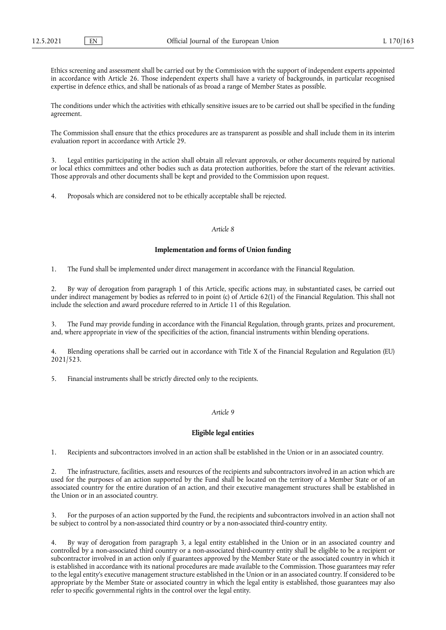Ethics screening and assessment shall be carried out by the Commission with the support of independent experts appointed in accordance with Article 26. Those independent experts shall have a variety of backgrounds, in particular recognised expertise in defence ethics, and shall be nationals of as broad a range of Member States as possible.

The conditions under which the activities with ethically sensitive issues are to be carried out shall be specified in the funding agreement.

The Commission shall ensure that the ethics procedures are as transparent as possible and shall include them in its interim evaluation report in accordance with Article 29.

3. Legal entities participating in the action shall obtain all relevant approvals, or other documents required by national or local ethics committees and other bodies such as data protection authorities, before the start of the relevant activities. Those approvals and other documents shall be kept and provided to the Commission upon request.

4. Proposals which are considered not to be ethically acceptable shall be rejected.

#### *Article 8*

## **Implementation and forms of Union funding**

1. The Fund shall be implemented under direct management in accordance with the Financial Regulation.

2. By way of derogation from paragraph 1 of this Article, specific actions may, in substantiated cases, be carried out under indirect management by bodies as referred to in point (c) of Article 62(1) of the Financial Regulation. This shall not include the selection and award procedure referred to in Article 11 of this Regulation.

3. The Fund may provide funding in accordance with the Financial Regulation, through grants, prizes and procurement, and, where appropriate in view of the specificities of the action, financial instruments within blending operations.

4. Blending operations shall be carried out in accordance with Title X of the Financial Regulation and Regulation (EU) 2021/523.

5. Financial instruments shall be strictly directed only to the recipients.

## *Article 9*

## **Eligible legal entities**

1. Recipients and subcontractors involved in an action shall be established in the Union or in an associated country.

2. The infrastructure, facilities, assets and resources of the recipients and subcontractors involved in an action which are used for the purposes of an action supported by the Fund shall be located on the territory of a Member State or of an associated country for the entire duration of an action, and their executive management structures shall be established in the Union or in an associated country.

3. For the purposes of an action supported by the Fund, the recipients and subcontractors involved in an action shall not be subject to control by a non-associated third country or by a non-associated third-country entity.

4. By way of derogation from paragraph 3, a legal entity established in the Union or in an associated country and controlled by a non-associated third country or a non-associated third-country entity shall be eligible to be a recipient or subcontractor involved in an action only if guarantees approved by the Member State or the associated country in which it is established in accordance with its national procedures are made available to the Commission. Those guarantees may refer to the legal entity's executive management structure established in the Union or in an associated country. If considered to be appropriate by the Member State or associated country in which the legal entity is established, those guarantees may also refer to specific governmental rights in the control over the legal entity.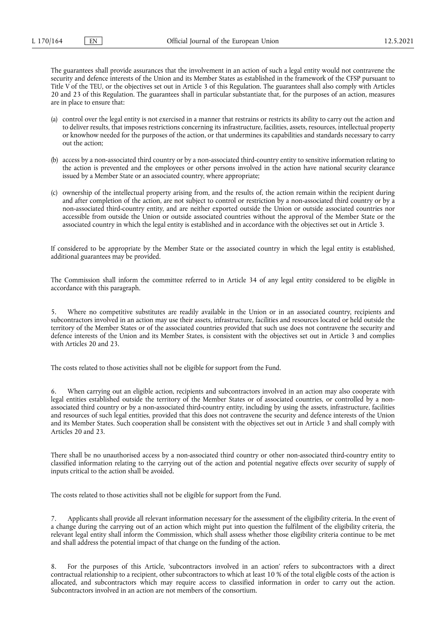The guarantees shall provide assurances that the involvement in an action of such a legal entity would not contravene the security and defence interests of the Union and its Member States as established in the framework of the CFSP pursuant to Title V of the TEU, or the objectives set out in Article 3 of this Regulation. The guarantees shall also comply with Articles 20 and 23 of this Regulation. The guarantees shall in particular substantiate that, for the purposes of an action, measures are in place to ensure that:

- (a) control over the legal entity is not exercised in a manner that restrains or restricts its ability to carry out the action and to deliver results, that imposes restrictions concerning its infrastructure, facilities, assets, resources, intellectual property or knowhow needed for the purposes of the action, or that undermines its capabilities and standards necessary to carry out the action;
- (b) access by a non-associated third country or by a non-associated third-country entity to sensitive information relating to the action is prevented and the employees or other persons involved in the action have national security clearance issued by a Member State or an associated country, where appropriate;
- (c) ownership of the intellectual property arising from, and the results of, the action remain within the recipient during and after completion of the action, are not subject to control or restriction by a non-associated third country or by a non-associated third-country entity, and are neither exported outside the Union or outside associated countries nor accessible from outside the Union or outside associated countries without the approval of the Member State or the associated country in which the legal entity is established and in accordance with the objectives set out in Article 3.

If considered to be appropriate by the Member State or the associated country in which the legal entity is established, additional guarantees may be provided.

The Commission shall inform the committee referred to in Article 34 of any legal entity considered to be eligible in accordance with this paragraph.

5. Where no competitive substitutes are readily available in the Union or in an associated country, recipients and subcontractors involved in an action may use their assets, infrastructure, facilities and resources located or held outside the territory of the Member States or of the associated countries provided that such use does not contravene the security and defence interests of the Union and its Member States, is consistent with the objectives set out in Article 3 and complies with Articles 20 and 23.

The costs related to those activities shall not be eligible for support from the Fund.

6. When carrying out an eligible action, recipients and subcontractors involved in an action may also cooperate with legal entities established outside the territory of the Member States or of associated countries, or controlled by a nonassociated third country or by a non-associated third-country entity, including by using the assets, infrastructure, facilities and resources of such legal entities, provided that this does not contravene the security and defence interests of the Union and its Member States. Such cooperation shall be consistent with the objectives set out in Article 3 and shall comply with Articles 20 and 23.

There shall be no unauthorised access by a non-associated third country or other non-associated third-country entity to classified information relating to the carrying out of the action and potential negative effects over security of supply of inputs critical to the action shall be avoided.

The costs related to those activities shall not be eligible for support from the Fund.

Applicants shall provide all relevant information necessary for the assessment of the eligibility criteria. In the event of a change during the carrying out of an action which might put into question the fulfilment of the eligibility criteria, the relevant legal entity shall inform the Commission, which shall assess whether those eligibility criteria continue to be met and shall address the potential impact of that change on the funding of the action.

8. For the purposes of this Article, 'subcontractors involved in an action' refers to subcontractors with a direct contractual relationship to a recipient, other subcontractors to which at least 10 % of the total eligible costs of the action is allocated, and subcontractors which may require access to classified information in order to carry out the action. Subcontractors involved in an action are not members of the consortium.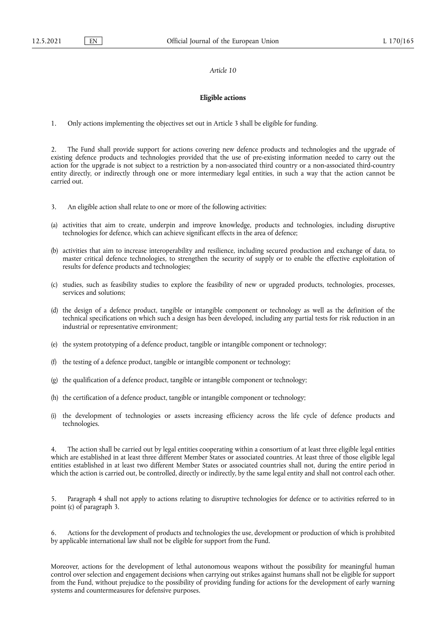# **Eligible actions**

1. Only actions implementing the objectives set out in Article 3 shall be eligible for funding.

2. The Fund shall provide support for actions covering new defence products and technologies and the upgrade of existing defence products and technologies provided that the use of pre-existing information needed to carry out the action for the upgrade is not subject to a restriction by a non-associated third country or a non-associated third-country entity directly, or indirectly through one or more intermediary legal entities, in such a way that the action cannot be carried out.

- 3. An eligible action shall relate to one or more of the following activities:
- (a) activities that aim to create, underpin and improve knowledge, products and technologies, including disruptive technologies for defence, which can achieve significant effects in the area of defence;
- (b) activities that aim to increase interoperability and resilience, including secured production and exchange of data, to master critical defence technologies, to strengthen the security of supply or to enable the effective exploitation of results for defence products and technologies;
- (c) studies, such as feasibility studies to explore the feasibility of new or upgraded products, technologies, processes, services and solutions;
- (d) the design of a defence product, tangible or intangible component or technology as well as the definition of the technical specifications on which such a design has been developed, including any partial tests for risk reduction in an industrial or representative environment;
- (e) the system prototyping of a defence product, tangible or intangible component or technology;
- (f) the testing of a defence product, tangible or intangible component or technology;
- (g) the qualification of a defence product, tangible or intangible component or technology;
- (h) the certification of a defence product, tangible or intangible component or technology;
- (i) the development of technologies or assets increasing efficiency across the life cycle of defence products and technologies.

The action shall be carried out by legal entities cooperating within a consortium of at least three eligible legal entities which are established in at least three different Member States or associated countries. At least three of those eligible legal entities established in at least two different Member States or associated countries shall not, during the entire period in which the action is carried out, be controlled, directly or indirectly, by the same legal entity and shall not control each other.

5. Paragraph 4 shall not apply to actions relating to disruptive technologies for defence or to activities referred to in point (c) of paragraph 3.

6. Actions for the development of products and technologies the use, development or production of which is prohibited by applicable international law shall not be eligible for support from the Fund.

Moreover, actions for the development of lethal autonomous weapons without the possibility for meaningful human control over selection and engagement decisions when carrying out strikes against humans shall not be eligible for support from the Fund, without prejudice to the possibility of providing funding for actions for the development of early warning systems and countermeasures for defensive purposes.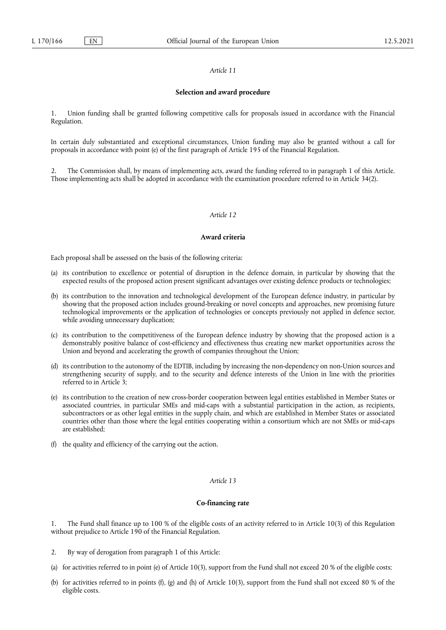#### **Selection and award procedure**

1. Union funding shall be granted following competitive calls for proposals issued in accordance with the Financial Regulation.

In certain duly substantiated and exceptional circumstances, Union funding may also be granted without a call for proposals in accordance with point (e) of the first paragraph of Article 195 of the Financial Regulation.

2. The Commission shall, by means of implementing acts, award the funding referred to in paragraph 1 of this Article. Those implementing acts shall be adopted in accordance with the examination procedure referred to in Article 34(2).

#### *Article 12*

#### **Award criteria**

Each proposal shall be assessed on the basis of the following criteria:

- (a) its contribution to excellence or potential of disruption in the defence domain, in particular by showing that the expected results of the proposed action present significant advantages over existing defence products or technologies;
- (b) its contribution to the innovation and technological development of the European defence industry, in particular by showing that the proposed action includes ground-breaking or novel concepts and approaches, new promising future technological improvements or the application of technologies or concepts previously not applied in defence sector, while avoiding unnecessary duplication;
- (c) its contribution to the competitiveness of the European defence industry by showing that the proposed action is a demonstrably positive balance of cost-efficiency and effectiveness thus creating new market opportunities across the Union and beyond and accelerating the growth of companies throughout the Union;
- (d) its contribution to the autonomy of the EDTIB, including by increasing the non-dependency on non-Union sources and strengthening security of supply, and to the security and defence interests of the Union in line with the priorities referred to in Article 3;
- (e) its contribution to the creation of new cross-border cooperation between legal entities established in Member States or associated countries, in particular SMEs and mid-caps with a substantial participation in the action, as recipients, subcontractors or as other legal entities in the supply chain, and which are established in Member States or associated countries other than those where the legal entities cooperating within a consortium which are not SMEs or mid-caps are established;
- (f) the quality and efficiency of the carrying out the action.

## *Article 13*

## **Co-financing rate**

1. The Fund shall finance up to 100 % of the eligible costs of an activity referred to in Article 10(3) of this Regulation without prejudice to Article 190 of the Financial Regulation.

- 2. By way of derogation from paragraph 1 of this Article:
- (a) for activities referred to in point (e) of Article 10(3), support from the Fund shall not exceed 20 % of the eligible costs;
- (b) for activities referred to in points (f), (g) and (h) of Article 10(3), support from the Fund shall not exceed 80 % of the eligible costs.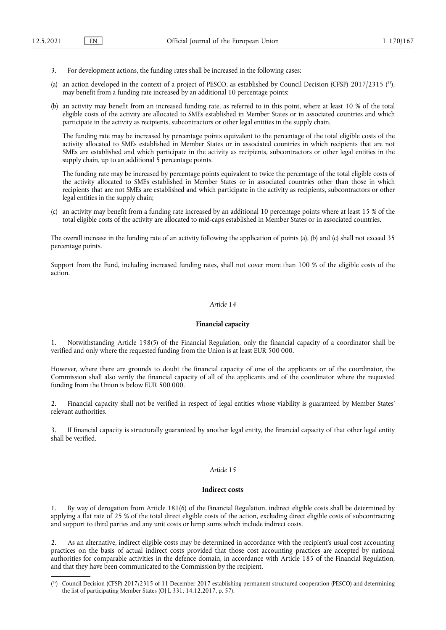- 3. For development actions, the funding rates shall be increased in the following cases:
- <span id="page-18-1"></span>(a) an action developed in the context of a project of PESCO, as established by Council Decision (CFSP)  $2017/2315$   $(^{25})$ , may benefit from a funding rate increased by an additional 10 percentage points;
- (b) an activity may benefit from an increased funding rate, as referred to in this point, where at least 10 % of the total eligible costs of the activity are allocated to SMEs established in Member States or in associated countries and which participate in the activity as recipients, subcontractors or other legal entities in the supply chain.

The funding rate may be increased by percentage points equivalent to the percentage of the total eligible costs of the activity allocated to SMEs established in Member States or in associated countries in which recipients that are not SMEs are established and which participate in the activity as recipients, subcontractors or other legal entities in the supply chain, up to an additional  $\overline{5}$  percentage points.

The funding rate may be increased by percentage points equivalent to twice the percentage of the total eligible costs of the activity allocated to SMEs established in Member States or in associated countries other than those in which recipients that are not SMEs are established and which participate in the activity as recipients, subcontractors or other legal entities in the supply chain;

(c) an activity may benefit from a funding rate increased by an additional 10 percentage points where at least 15 % of the total eligible costs of the activity are allocated to mid-caps established in Member States or in associated countries.

The overall increase in the funding rate of an activity following the application of points (a), (b) and (c) shall not exceed 35 percentage points.

Support from the Fund, including increased funding rates, shall not cover more than 100 % of the eligible costs of the action.

## *Article 14*

## **Financial capacity**

1. Notwithstanding Article 198(5) of the Financial Regulation, only the financial capacity of a coordinator shall be verified and only where the requested funding from the Union is at least EUR 500 000.

However, where there are grounds to doubt the financial capacity of one of the applicants or of the coordinator, the Commission shall also verify the financial capacity of all of the applicants and of the coordinator where the requested funding from the Union is below EUR 500 000.

2. Financial capacity shall not be verified in respect of legal entities whose viability is guaranteed by Member States' relevant authorities.

3. If financial capacity is structurally guaranteed by another legal entity, the financial capacity of that other legal entity shall be verified.

#### *Article 15*

## **Indirect costs**

1. By way of derogation from Article 181(6) of the Financial Regulation, indirect eligible costs shall be determined by applying a flat rate of 25 % of the total direct eligible costs of the action, excluding direct eligible costs of subcontracting and support to third parties and any unit costs or lump sums which include indirect costs.

2. As an alternative, indirect eligible costs may be determined in accordance with the recipient's usual cost accounting practices on the basis of actual indirect costs provided that those cost accounting practices are accepted by national authorities for comparable activities in the defence domain, in accordance with Article 185 of the Financial Regulation, and that they have been communicated to the Commission by the recipient.

<span id="page-18-0"></span><sup>(</sup> [25\)](#page-18-1) Council Decision (CFSP) 2017/2315 of 11 December 2017 establishing permanent structured cooperation (PESCO) and determining the list of participating Member States (OJ L 331, 14.12.2017, p. 57).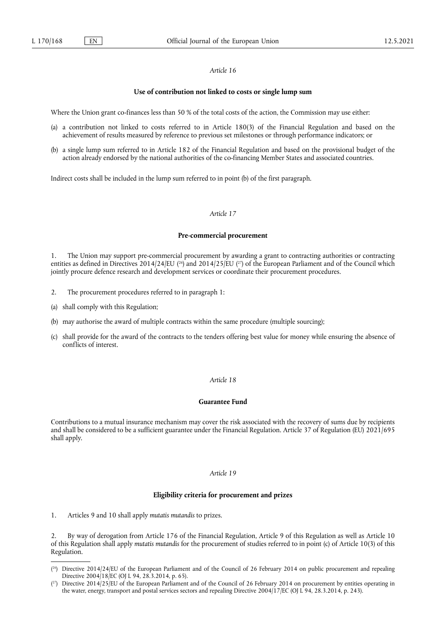#### **Use of contribution not linked to costs or single lump sum**

Where the Union grant co-finances less than 50 % of the total costs of the action, the Commission may use either:

- (a) a contribution not linked to costs referred to in Article 180(3) of the Financial Regulation and based on the achievement of results measured by reference to previous set milestones or through performance indicators; or
- (b) a single lump sum referred to in Article 182 of the Financial Regulation and based on the provisional budget of the action already endorsed by the national authorities of the co-financing Member States and associated countries.

Indirect costs shall be included in the lump sum referred to in point (b) of the first paragraph.

## *Article 17*

#### **Pre-commercial procurement**

<span id="page-19-2"></span>1. The Union may support pre-commercial procurement by awarding a grant to contracting authorities or contracting entities as defined in Directives 2014/24/EU ( $^{26}$ ) and 2014/25/EU ( $^{27}$ ) of the European Parliament and of the Council which jointly procure defence research and development services or coordinate their procurement procedures.

- 2. The procurement procedures referred to in paragraph 1:
- (a) shall comply with this Regulation;
- (b) may authorise the award of multiple contracts within the same procedure (multiple sourcing);
- (c) shall provide for the award of the contracts to the tenders offering best value for money while ensuring the absence of conflicts of interest.

## *Article 18*

#### **Guarantee Fund**

Contributions to a mutual insurance mechanism may cover the risk associated with the recovery of sums due by recipients and shall be considered to be a sufficient guarantee under the Financial Regulation. Article 37 of Regulation (EU) 2021/695 shall apply.

## *Article 19*

## **Eligibility criteria for procurement and prizes**

1. Articles 9 and 10 shall apply *mutatis mutandis* to prizes.

2. By way of derogation from Article 176 of the Financial Regulation, Article 9 of this Regulation as well as Article 10 of this Regulation shall apply *mutatis mutandis* for the procurement of studies referred to in point (c) of Article 10(3) of this Regulation.

<span id="page-19-0"></span><sup>(</sup> [26\)](#page-19-2) Directive 2014/24/EU of the European Parliament and of the Council of 26 February 2014 on public procurement and repealing Directive 2004/18/EC (OJ L 94, 28.3.2014, p. 65).

<span id="page-19-1"></span><sup>(</sup> [27\)](#page-19-2) Directive 2014/25/EU of the European Parliament and of the Council of 26 February 2014 on procurement by entities operating in the water, energy, transport and postal services sectors and repealing Directive 2004/17/EC (OJ L 94, 28.3.2014, p. 243).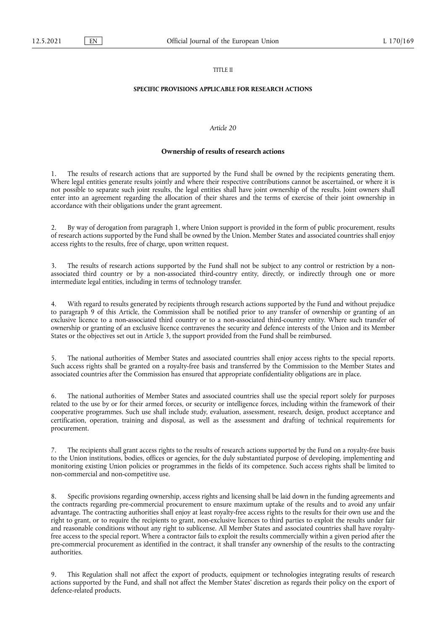## TITLE II

## **SPECIFIC PROVISIONS APPLICABLE FOR RESEARCH ACTIONS**

#### *Article 20*

#### **Ownership of results of research actions**

The results of research actions that are supported by the Fund shall be owned by the recipients generating them. Where legal entities generate results jointly and where their respective contributions cannot be ascertained, or where it is not possible to separate such joint results, the legal entities shall have joint ownership of the results. Joint owners shall enter into an agreement regarding the allocation of their shares and the terms of exercise of their joint ownership in accordance with their obligations under the grant agreement.

2. By way of derogation from paragraph 1, where Union support is provided in the form of public procurement, results of research actions supported by the Fund shall be owned by the Union. Member States and associated countries shall enjoy access rights to the results, free of charge, upon written request.

3. The results of research actions supported by the Fund shall not be subject to any control or restriction by a nonassociated third country or by a non-associated third-country entity, directly, or indirectly through one or more intermediate legal entities, including in terms of technology transfer.

4. With regard to results generated by recipients through research actions supported by the Fund and without prejudice to paragraph 9 of this Article, the Commission shall be notified prior to any transfer of ownership or granting of an exclusive licence to a non-associated third country or to a non-associated third-country entity. Where such transfer of ownership or granting of an exclusive licence contravenes the security and defence interests of the Union and its Member States or the objectives set out in Article 3, the support provided from the Fund shall be reimbursed.

5. The national authorities of Member States and associated countries shall enjoy access rights to the special reports. Such access rights shall be granted on a royalty-free basis and transferred by the Commission to the Member States and associated countries after the Commission has ensured that appropriate confidentiality obligations are in place.

6. The national authorities of Member States and associated countries shall use the special report solely for purposes related to the use by or for their armed forces, or security or intelligence forces, including within the framework of their cooperative programmes. Such use shall include study, evaluation, assessment, research, design, product acceptance and certification, operation, training and disposal, as well as the assessment and drafting of technical requirements for procurement.

7. The recipients shall grant access rights to the results of research actions supported by the Fund on a royalty-free basis to the Union institutions, bodies, offices or agencies, for the duly substantiated purpose of developing, implementing and monitoring existing Union policies or programmes in the fields of its competence. Such access rights shall be limited to non-commercial and non-competitive use.

8. Specific provisions regarding ownership, access rights and licensing shall be laid down in the funding agreements and the contracts regarding pre-commercial procurement to ensure maximum uptake of the results and to avoid any unfair advantage. The contracting authorities shall enjoy at least royalty-free access rights to the results for their own use and the right to grant, or to require the recipients to grant, non-exclusive licences to third parties to exploit the results under fair and reasonable conditions without any right to sublicense. All Member States and associated countries shall have royaltyfree access to the special report. Where a contractor fails to exploit the results commercially within a given period after the pre-commercial procurement as identified in the contract, it shall transfer any ownership of the results to the contracting authorities.

9. This Regulation shall not affect the export of products, equipment or technologies integrating results of research actions supported by the Fund, and shall not affect the Member States' discretion as regards their policy on the export of defence-related products.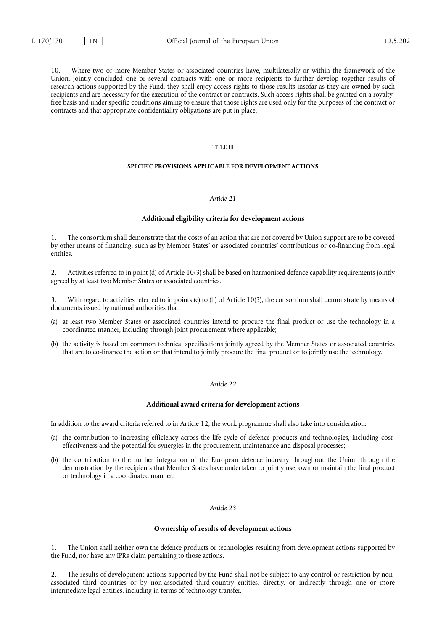10. Where two or more Member States or associated countries have, multilaterally or within the framework of the Union, jointly concluded one or several contracts with one or more recipients to further develop together results of research actions supported by the Fund, they shall enjoy access rights to those results insofar as they are owned by such recipients and are necessary for the execution of the contract or contracts. Such access rights shall be granted on a royaltyfree basis and under specific conditions aiming to ensure that those rights are used only for the purposes of the contract or contracts and that appropriate confidentiality obligations are put in place.

## TITLE III

#### **SPECIFIC PROVISIONS APPLICABLE FOR DEVELOPMENT ACTIONS**

## *Article 21*

#### **Additional eligibility criteria for development actions**

The consortium shall demonstrate that the costs of an action that are not covered by Union support are to be covered by other means of financing, such as by Member States' or associated countries' contributions or co-financing from legal entities.

2. Activities referred to in point (d) of Article 10(3) shall be based on harmonised defence capability requirements jointly agreed by at least two Member States or associated countries.

With regard to activities referred to in points (e) to (h) of Article 10(3), the consortium shall demonstrate by means of documents issued by national authorities that:

- (a) at least two Member States or associated countries intend to procure the final product or use the technology in a coordinated manner, including through joint procurement where applicable;
- (b) the activity is based on common technical specifications jointly agreed by the Member States or associated countries that are to co-finance the action or that intend to jointly procure the final product or to jointly use the technology.

#### *Article 22*

## **Additional award criteria for development actions**

In addition to the award criteria referred to in Article 12, the work programme shall also take into consideration:

- (a) the contribution to increasing efficiency across the life cycle of defence products and technologies, including costeffectiveness and the potential for synergies in the procurement, maintenance and disposal processes;
- (b) the contribution to the further integration of the European defence industry throughout the Union through the demonstration by the recipients that Member States have undertaken to jointly use, own or maintain the final product or technology in a coordinated manner.

#### *Article 23*

#### **Ownership of results of development actions**

1. The Union shall neither own the defence products or technologies resulting from development actions supported by the Fund, nor have any IPRs claim pertaining to those actions.

2. The results of development actions supported by the Fund shall not be subject to any control or restriction by nonassociated third countries or by non-associated third-country entities, directly, or indirectly through one or more intermediate legal entities, including in terms of technology transfer.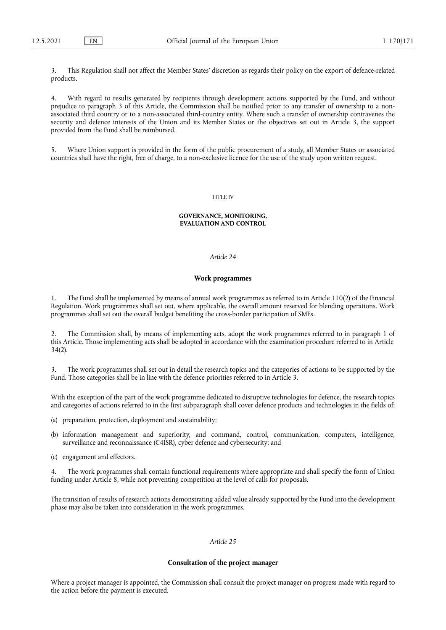3. This Regulation shall not affect the Member States' discretion as regards their policy on the export of defence-related products.

4. With regard to results generated by recipients through development actions supported by the Fund, and without prejudice to paragraph 3 of this Article, the Commission shall be notified prior to any transfer of ownership to a nonassociated third country or to a non-associated third-country entity. Where such a transfer of ownership contravenes the security and defence interests of the Union and its Member States or the objectives set out in Article 3, the support provided from the Fund shall be reimbursed.

5. Where Union support is provided in the form of the public procurement of a study, all Member States or associated countries shall have the right, free of charge, to a non-exclusive licence for the use of the study upon written request.

#### TITLE IV

#### **GOVERNANCE, MONITORING, EVALUATION AND CONTROL**

# *Article 24*

## **Work programmes**

1. The Fund shall be implemented by means of annual work programmes as referred to in Article 110(2) of the Financial Regulation. Work programmes shall set out, where applicable, the overall amount reserved for blending operations. Work programmes shall set out the overall budget benefiting the cross-border participation of SMEs.

2. The Commission shall, by means of implementing acts, adopt the work programmes referred to in paragraph 1 of this Article. Those implementing acts shall be adopted in accordance with the examination procedure referred to in Article 34(2).

3. The work programmes shall set out in detail the research topics and the categories of actions to be supported by the Fund. Those categories shall be in line with the defence priorities referred to in Article 3.

With the exception of the part of the work programme dedicated to disruptive technologies for defence, the research topics and categories of actions referred to in the first subparagraph shall cover defence products and technologies in the fields of:

- (a) preparation, protection, deployment and sustainability;
- (b) information management and superiority, and command, control, communication, computers, intelligence, surveillance and reconnaissance (C4ISR), cyber defence and cybersecurity; and
- (c) engagement and effectors.

4. The work programmes shall contain functional requirements where appropriate and shall specify the form of Union funding under Article 8, while not preventing competition at the level of calls for proposals.

The transition of results of research actions demonstrating added value already supported by the Fund into the development phase may also be taken into consideration in the work programmes.

## *Article 25*

#### **Consultation of the project manager**

Where a project manager is appointed, the Commission shall consult the project manager on progress made with regard to the action before the payment is executed.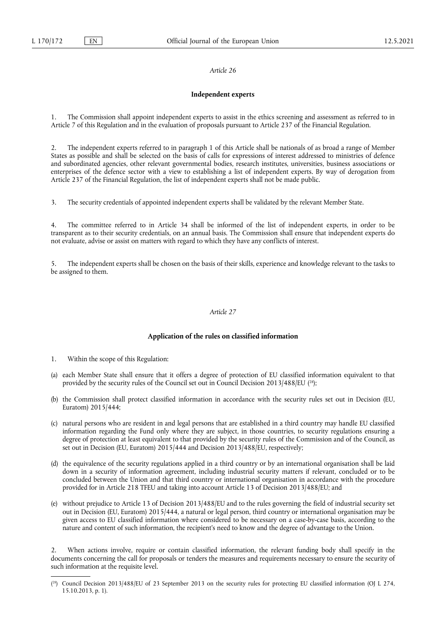## **Independent experts**

The Commission shall appoint independent experts to assist in the ethics screening and assessment as referred to in Article 7 of this Regulation and in the evaluation of proposals pursuant to Article 237 of the Financial Regulation.

2. The independent experts referred to in paragraph 1 of this Article shall be nationals of as broad a range of Member States as possible and shall be selected on the basis of calls for expressions of interest addressed to ministries of defence and subordinated agencies, other relevant governmental bodies, research institutes, universities, business associations or enterprises of the defence sector with a view to establishing a list of independent experts. By way of derogation from Article 237 of the Financial Regulation, the list of independent experts shall not be made public.

3. The security credentials of appointed independent experts shall be validated by the relevant Member State.

4. The committee referred to in Article 34 shall be informed of the list of independent experts, in order to be transparent as to their security credentials, on an annual basis. The Commission shall ensure that independent experts do not evaluate, advise or assist on matters with regard to which they have any conflicts of interest.

5. The independent experts shall be chosen on the basis of their skills, experience and knowledge relevant to the tasks to be assigned to them.

#### *Article 27*

#### **Application of the rules on classified information**

- 1. Within the scope of this Regulation:
- <span id="page-23-1"></span>(a) each Member State shall ensure that it offers a degree of protection of EU classified information equivalent to that provided by the security rules of the Council set out in Council Decision 2013/488/EU ( [28\)](#page-23-0);
- (b) the Commission shall protect classified information in accordance with the security rules set out in Decision (EU, Euratom) 2015/444;
- (c) natural persons who are resident in and legal persons that are established in a third country may handle EU classified information regarding the Fund only where they are subject, in those countries, to security regulations ensuring a degree of protection at least equivalent to that provided by the security rules of the Commission and of the Council, as set out in Decision (EU, Euratom) 2015/444 and Decision 2013/488/EU, respectively;
- (d) the equivalence of the security regulations applied in a third country or by an international organisation shall be laid down in a security of information agreement, including industrial security matters if relevant, concluded or to be concluded between the Union and that third country or international organisation in accordance with the procedure provided for in Article 218 TFEU and taking into account Article 13 of Decision 2013/488/EU; and
- (e) without prejudice to Article 13 of Decision 2013/488/EU and to the rules governing the field of industrial security set out in Decision (EU, Euratom) 2015/444, a natural or legal person, third country or international organisation may be given access to EU classified information where considered to be necessary on a case-by-case basis, according to the nature and content of such information, the recipient's need to know and the degree of advantage to the Union.

2. When actions involve, require or contain classified information, the relevant funding body shall specify in the documents concerning the call for proposals or tenders the measures and requirements necessary to ensure the security of such information at the requisite level.

<span id="page-23-0"></span><sup>(</sup> [28\)](#page-23-1) Council Decision 2013/488/EU of 23 September 2013 on the security rules for protecting EU classified information (OJ L 274, 15.10.2013, p. 1).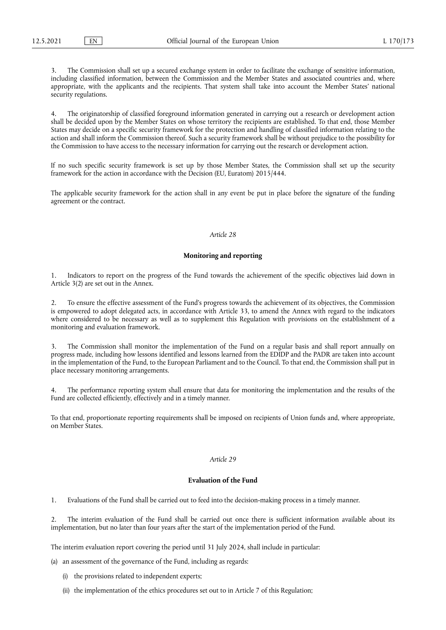3. The Commission shall set up a secured exchange system in order to facilitate the exchange of sensitive information, including classified information, between the Commission and the Member States and associated countries and, where appropriate, with the applicants and the recipients. That system shall take into account the Member States' national security regulations.

4. The originatorship of classified foreground information generated in carrying out a research or development action shall be decided upon by the Member States on whose territory the recipients are established. To that end, those Member States may decide on a specific security framework for the protection and handling of classified information relating to the action and shall inform the Commission thereof. Such a security framework shall be without prejudice to the possibility for the Commission to have access to the necessary information for carrying out the research or development action.

If no such specific security framework is set up by those Member States, the Commission shall set up the security framework for the action in accordance with the Decision (EU, Euratom) 2015/444.

The applicable security framework for the action shall in any event be put in place before the signature of the funding agreement or the contract.

#### *Article 28*

## **Monitoring and reporting**

1. Indicators to report on the progress of the Fund towards the achievement of the specific objectives laid down in Article 3(2) are set out in the Annex.

2. To ensure the effective assessment of the Fund's progress towards the achievement of its objectives, the Commission is empowered to adopt delegated acts, in accordance with Article 33, to amend the Annex with regard to the indicators where considered to be necessary as well as to supplement this Regulation with provisions on the establishment of a monitoring and evaluation framework.

3. The Commission shall monitor the implementation of the Fund on a regular basis and shall report annually on progress made, including how lessons identified and lessons learned from the EDIDP and the PADR are taken into account in the implementation of the Fund, to the European Parliament and to the Council. To that end, the Commission shall put in place necessary monitoring arrangements.

4. The performance reporting system shall ensure that data for monitoring the implementation and the results of the Fund are collected efficiently, effectively and in a timely manner.

To that end, proportionate reporting requirements shall be imposed on recipients of Union funds and, where appropriate, on Member States.

#### *Article 29*

## **Evaluation of the Fund**

1. Evaluations of the Fund shall be carried out to feed into the decision-making process in a timely manner.

2. The interim evaluation of the Fund shall be carried out once there is sufficient information available about its implementation, but no later than four years after the start of the implementation period of the Fund.

The interim evaluation report covering the period until 31 July 2024, shall include in particular:

(a) an assessment of the governance of the Fund, including as regards:

- (i) the provisions related to independent experts;
- (ii) the implementation of the ethics procedures set out to in Article 7 of this Regulation;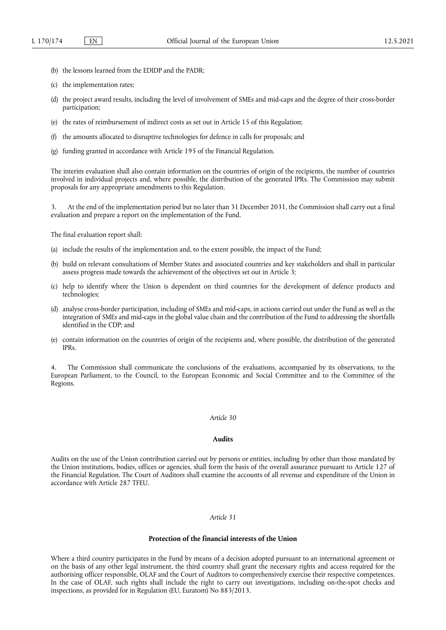- (b) the lessons learned from the EDIDP and the PADR;
- (c) the implementation rates;
- (d) the project award results, including the level of involvement of SMEs and mid-caps and the degree of their cross-border participation;
- (e) the rates of reimbursement of indirect costs as set out in Article 15 of this Regulation;
- (f) the amounts allocated to disruptive technologies for defence in calls for proposals; and
- (g) funding granted in accordance with Article 195 of the Financial Regulation.

The interim evaluation shall also contain information on the countries of origin of the recipients, the number of countries involved in individual projects and, where possible, the distribution of the generated IPRs. The Commission may submit proposals for any appropriate amendments to this Regulation.

3. At the end of the implementation period but no later than 31 December 2031, the Commission shall carry out a final evaluation and prepare a report on the implementation of the Fund.

The final evaluation report shall:

- (a) include the results of the implementation and, to the extent possible, the impact of the Fund;
- (b) build on relevant consultations of Member States and associated countries and key stakeholders and shall in particular assess progress made towards the achievement of the objectives set out in Article 3;
- (c) help to identify where the Union is dependent on third countries for the development of defence products and technologies;
- (d) analyse cross-border participation, including of SMEs and mid-caps, in actions carried out under the Fund as well as the integration of SMEs and mid-caps in the global value chain and the contribution of the Fund to addressing the shortfalls identified in the CDP; and
- (e) contain information on the countries of origin of the recipients and, where possible, the distribution of the generated IPRs.

The Commission shall communicate the conclusions of the evaluations, accompanied by its observations, to the European Parliament, to the Council, to the European Economic and Social Committee and to the Committee of the Regions.

## *Article 30*

# **Audits**

Audits on the use of the Union contribution carried out by persons or entities, including by other than those mandated by the Union institutions, bodies, offices or agencies, shall form the basis of the overall assurance pursuant to Article 127 of the Financial Regulation. The Court of Auditors shall examine the accounts of all revenue and expenditure of the Union in accordance with Article 287 TFEU.

## *Article 31*

## **Protection of the financial interests of the Union**

Where a third country participates in the Fund by means of a decision adopted pursuant to an international agreement or on the basis of any other legal instrument, the third country shall grant the necessary rights and access required for the authorising officer responsible, OLAF and the Court of Auditors to comprehensively exercise their respective competences. In the case of OLAF, such rights shall include the right to carry out investigations, including on-the-spot checks and inspections, as provided for in Regulation (EU, Euratom) No 883/2013.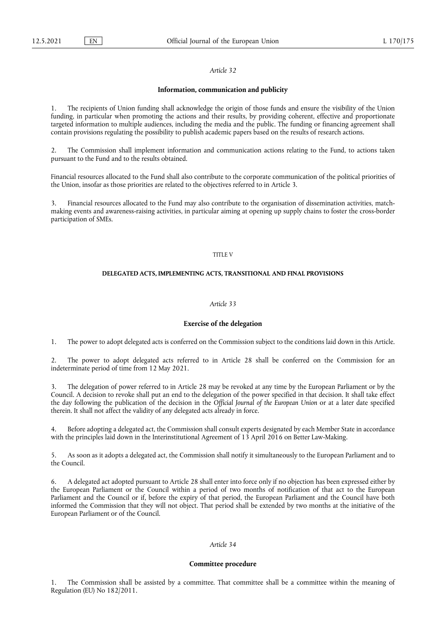#### **Information, communication and publicity**

1. The recipients of Union funding shall acknowledge the origin of those funds and ensure the visibility of the Union funding, in particular when promoting the actions and their results, by providing coherent, effective and proportionate targeted information to multiple audiences, including the media and the public. The funding or financing agreement shall contain provisions regulating the possibility to publish academic papers based on the results of research actions.

2. The Commission shall implement information and communication actions relating to the Fund, to actions taken pursuant to the Fund and to the results obtained.

Financial resources allocated to the Fund shall also contribute to the corporate communication of the political priorities of the Union, insofar as those priorities are related to the objectives referred to in Article 3.

3. Financial resources allocated to the Fund may also contribute to the organisation of dissemination activities, matchmaking events and awareness-raising activities, in particular aiming at opening up supply chains to foster the cross-border participation of SMEs.

### TITLE V

# **DELEGATED ACTS, IMPLEMENTING ACTS, TRANSITIONAL AND FINAL PROVISIONS**

#### *Article 33*

#### **Exercise of the delegation**

1. The power to adopt delegated acts is conferred on the Commission subject to the conditions laid down in this Article.

2. The power to adopt delegated acts referred to in Article 28 shall be conferred on the Commission for an indeterminate period of time from 12 May 2021.

3. The delegation of power referred to in Article 28 may be revoked at any time by the European Parliament or by the Council. A decision to revoke shall put an end to the delegation of the power specified in that decision. It shall take effect the day following the publication of the decision in the *Official Journal of the European Union* or at a later date specified therein. It shall not affect the validity of any delegated acts already in force.

4. Before adopting a delegated act, the Commission shall consult experts designated by each Member State in accordance with the principles laid down in the Interinstitutional Agreement of 13 April 2016 on Better Law-Making.

5. As soon as it adopts a delegated act, the Commission shall notify it simultaneously to the European Parliament and to the Council.

6. A delegated act adopted pursuant to Article 28 shall enter into force only if no objection has been expressed either by the European Parliament or the Council within a period of two months of notification of that act to the European Parliament and the Council or if, before the expiry of that period, the European Parliament and the Council have both informed the Commission that they will not object. That period shall be extended by two months at the initiative of the European Parliament or of the Council.

# *Article 34*

## **Committee procedure**

1. The Commission shall be assisted by a committee. That committee shall be a committee within the meaning of Regulation (EU) No 182/2011.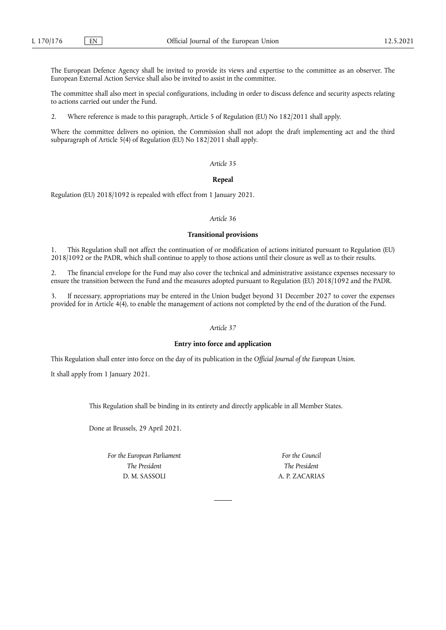The European Defence Agency shall be invited to provide its views and expertise to the committee as an observer. The European External Action Service shall also be invited to assist in the committee.

The committee shall also meet in special configurations, including in order to discuss defence and security aspects relating to actions carried out under the Fund.

2. Where reference is made to this paragraph, Article 5 of Regulation (EU) No 182/2011 shall apply.

Where the committee delivers no opinion, the Commission shall not adopt the draft implementing act and the third subparagraph of Article 5(4) of Regulation (EU) No 182/2011 shall apply.

#### *Article 35*

## **Repeal**

Regulation (EU) 2018/1092 is repealed with effect from 1 January 2021.

## *Article 36*

#### **Transitional provisions**

1. This Regulation shall not affect the continuation of or modification of actions initiated pursuant to Regulation (EU) 2018/1092 or the PADR, which shall continue to apply to those actions until their closure as well as to their results.

2. The financial envelope for the Fund may also cover the technical and administrative assistance expenses necessary to ensure the transition between the Fund and the measures adopted pursuant to Regulation (EU) 2018/1092 and the PADR.

3. If necessary, appropriations may be entered in the Union budget beyond 31 December 2027 to cover the expenses provided for in Article 4(4), to enable the management of actions not completed by the end of the duration of the Fund.

## *Article 37*

## **Entry into force and application**

This Regulation shall enter into force on the day of its publication in the *Official Journal of the European Union*.

It shall apply from 1 January 2021.

This Regulation shall be binding in its entirety and directly applicable in all Member States.

Done at Brussels, 29 April 2021.

*For the European Parliament The President* D. M. SASSOLI

*For the Council The President* A. P. ZACARIAS